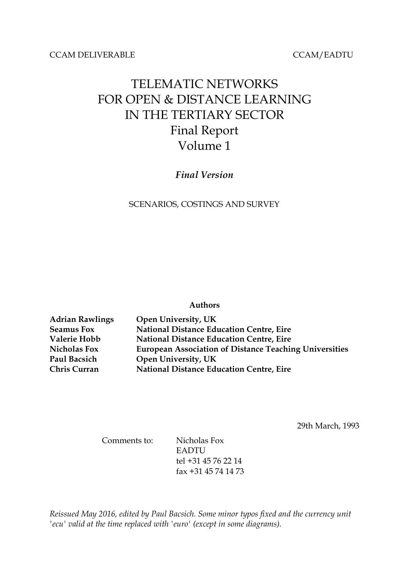#### CCAM DELIVERABLE CCAM/EADTU

# TELEMATIC NETWORKS FOR OPEN & DISTANCE LEARNING IN THE TERTIARY SECTOR Final Report Volume 1

# *Final Version*

#### SCENARIOS, COSTINGS AND SURVEY

#### **Authors**

| <b>Adrian Rawlings</b> | Open University, UK                                           |
|------------------------|---------------------------------------------------------------|
| <b>Seamus Fox</b>      | <b>National Distance Education Centre, Eire</b>               |
| Valerie Hobb           | <b>National Distance Education Centre, Eire</b>               |
| <b>Nicholas Fox</b>    | <b>European Association of Distance Teaching Universities</b> |
| Paul Bacsich           | Open University, UK                                           |
| <b>Chris Curran</b>    | <b>National Distance Education Centre, Eire</b>               |

29th March, 1993

Comments to: Nicholas Fox EADTU tel +31 45 76 22 14 fax +31 45 74 14 73

*Reissued May 2016, edited by Paul Bacsich. Some minor typos fixed and the currency unit 'ecu' valid at the time replaced with 'euro' (except in some diagrams).*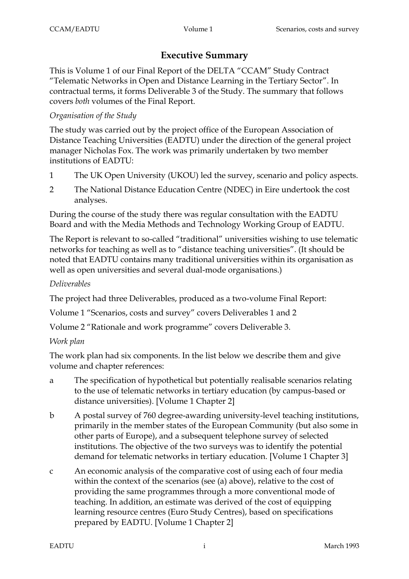# **Executive Summary**

This is Volume 1 of our Final Report of the DELTA "CCAM" Study Contract "Telematic Networks in Open and Distance Learning in the Tertiary Sector". In contractual terms, it forms Deliverable 3 of the Study. The summary that follows covers *both* volumes of the Final Report.

# *Organisation of the Study*

The study was carried out by the project office of the European Association of Distance Teaching Universities (EADTU) under the direction of the general project manager Nicholas Fox. The work was primarily undertaken by two member institutions of EADTU:

- 1 The UK Open University (UKOU) led the survey, scenario and policy aspects.
- 2 The National Distance Education Centre (NDEC) in Eire undertook the cost analyses.

During the course of the study there was regular consultation with the EADTU Board and with the Media Methods and Technology Working Group of EADTU.

The Report is relevant to so-called "traditional" universities wishing to use telematic networks for teaching as well as to "distance teaching universities". (It should be noted that EADTU contains many traditional universities within its organisation as well as open universities and several dual-mode organisations.)

# *Deliverables*

The project had three Deliverables, produced as a two-volume Final Report:

Volume 1 "Scenarios, costs and survey" covers Deliverables 1 and 2

Volume 2 "Rationale and work programme" covers Deliverable 3.

# *Work plan*

The work plan had six components. In the list below we describe them and give volume and chapter references:

- a The specification of hypothetical but potentially realisable scenarios relating to the use of telematic networks in tertiary education (by campus-based or distance universities). [Volume 1 Chapter 2]
- b A postal survey of 760 degree-awarding university-level teaching institutions, primarily in the member states of the European Community (but also some in other parts of Europe), and a subsequent telephone survey of selected institutions. The objective of the two surveys was to identify the potential demand for telematic networks in tertiary education. [Volume 1 Chapter 3]
- c An economic analysis of the comparative cost of using each of four media within the context of the scenarios (see (a) above), relative to the cost of providing the same programmes through a more conventional mode of teaching. In addition, an estimate was derived of the cost of equipping learning resource centres (Euro Study Centres), based on specifications prepared by EADTU. [Volume 1 Chapter 2]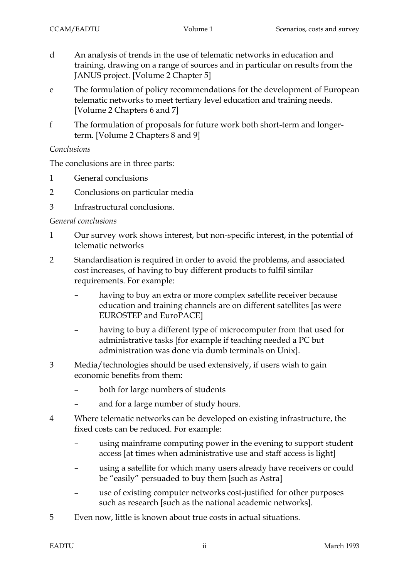- d An analysis of trends in the use of telematic networks in education and training, drawing on a range of sources and in particular on results from the JANUS project. [Volume 2 Chapter 5]
- e The formulation of policy recommendations for the development of European telematic networks to meet tertiary level education and training needs. [Volume 2 Chapters 6 and 7]
- f The formulation of proposals for future work both short-term and longerterm. [Volume 2 Chapters 8 and 9]

# *Conclusions*

The conclusions are in three parts:

- 1 General conclusions
- 2 Conclusions on particular media
- 3 Infrastructural conclusions.

# *General conclusions*

- 1 Our survey work shows interest, but non-specific interest, in the potential of telematic networks
- 2 Standardisation is required in order to avoid the problems, and associated cost increases, of having to buy different products to fulfil similar requirements. For example:
	- having to buy an extra or more complex satellite receiver because education and training channels are on different satellites [as were EUROSTEP and EuroPACE]
	- having to buy a different type of microcomputer from that used for administrative tasks [for example if teaching needed a PC but administration was done via dumb terminals on Unix].
- 3 Media/technologies should be used extensively, if users wish to gain economic benefits from them:
	- both for large numbers of students
	- and for a large number of study hours.
- 4 Where telematic networks can be developed on existing infrastructure, the fixed costs can be reduced. For example:
	- using mainframe computing power in the evening to support student access [at times when administrative use and staff access is light]
	- using a satellite for which many users already have receivers or could be "easily" persuaded to buy them [such as Astra]
	- use of existing computer networks cost-justified for other purposes such as research [such as the national academic networks].
- 5 Even now, little is known about true costs in actual situations.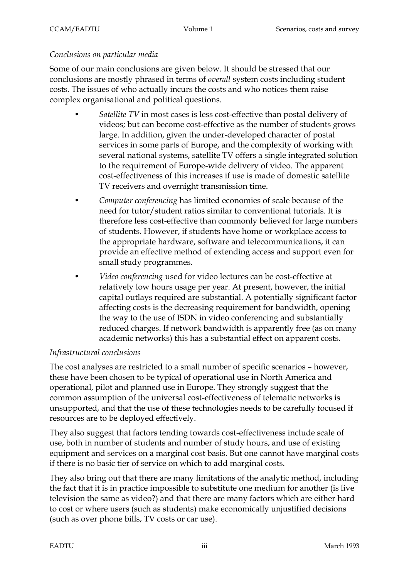#### *Conclusions on particular media*

Some of our main conclusions are given below. It should be stressed that our conclusions are mostly phrased in terms of *overall* system costs including student costs. The issues of who actually incurs the costs and who notices them raise complex organisational and political questions.

- *Satellite TV* in most cases is less cost-effective than postal delivery of videos; but can become cost-effective as the number of students grows large. In addition, given the under-developed character of postal services in some parts of Europe, and the complexity of working with several national systems, satellite TV offers a single integrated solution to the requirement of Europe-wide delivery of video. The apparent cost-effectiveness of this increases if use is made of domestic satellite TV receivers and overnight transmission time.
- *Computer conferencing* has limited economies of scale because of the need for tutor/student ratios similar to conventional tutorials. It is therefore less cost-effective than commonly believed for large numbers of students. However, if students have home or workplace access to the appropriate hardware, software and telecommunications, it can provide an effective method of extending access and support even for small study programmes.
- *Video conferencing* used for video lectures can be cost-effective at relatively low hours usage per year. At present, however, the initial capital outlays required are substantial. A potentially significant factor affecting costs is the decreasing requirement for bandwidth, opening the way to the use of ISDN in video conferencing and substantially reduced charges. If network bandwidth is apparently free (as on many academic networks) this has a substantial effect on apparent costs.

# *Infrastructural conclusions*

The cost analyses are restricted to a small number of specific scenarios – however, these have been chosen to be typical of operational use in North America and operational, pilot and planned use in Europe. They strongly suggest that the common assumption of the universal cost-effectiveness of telematic networks is unsupported, and that the use of these technologies needs to be carefully focused if resources are to be deployed effectively.

They also suggest that factors tending towards cost-effectiveness include scale of use, both in number of students and number of study hours, and use of existing equipment and services on a marginal cost basis. But one cannot have marginal costs if there is no basic tier of service on which to add marginal costs.

They also bring out that there are many limitations of the analytic method, including the fact that it is in practice impossible to substitute one medium for another (is live television the same as video?) and that there are many factors which are either hard to cost or where users (such as students) make economically unjustified decisions (such as over phone bills, TV costs or car use).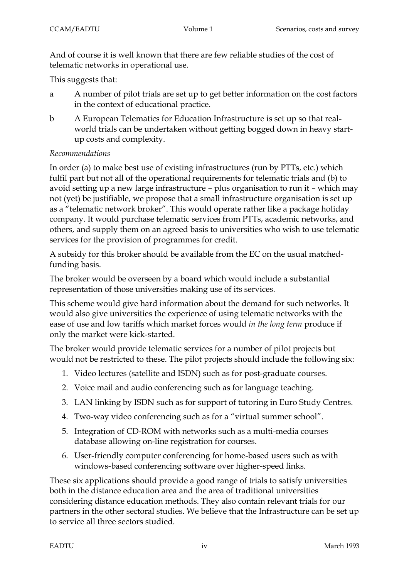And of course it is well known that there are few reliable studies of the cost of telematic networks in operational use.

This suggests that:

- a A number of pilot trials are set up to get better information on the cost factors in the context of educational practice.
- b A European Telematics for Education Infrastructure is set up so that realworld trials can be undertaken without getting bogged down in heavy startup costs and complexity.

# *Recommendations*

In order (a) to make best use of existing infrastructures (run by PTTs, etc.) which fulfil part but not all of the operational requirements for telematic trials and (b) to avoid setting up a new large infrastructure – plus organisation to run it – which may not (yet) be justifiable, we propose that a small infrastructure organisation is set up as a "telematic network broker". This would operate rather like a package holiday company. It would purchase telematic services from PTTs, academic networks, and others, and supply them on an agreed basis to universities who wish to use telematic services for the provision of programmes for credit.

A subsidy for this broker should be available from the EC on the usual matchedfunding basis.

The broker would be overseen by a board which would include a substantial representation of those universities making use of its services.

This scheme would give hard information about the demand for such networks. It would also give universities the experience of using telematic networks with the ease of use and low tariffs which market forces would *in the long term* produce if only the market were kick-started.

The broker would provide telematic services for a number of pilot projects but would not be restricted to these. The pilot projects should include the following six:

- 1. Video lectures (satellite and ISDN) such as for post-graduate courses.
- 2. Voice mail and audio conferencing such as for language teaching.
- 3. LAN linking by ISDN such as for support of tutoring in Euro Study Centres.
- 4. Two-way video conferencing such as for a "virtual summer school".
- 5. Integration of CD-ROM with networks such as a multi-media courses database allowing on-line registration for courses.
- 6. User-friendly computer conferencing for home-based users such as with windows-based conferencing software over higher-speed links.

These six applications should provide a good range of trials to satisfy universities both in the distance education area and the area of traditional universities considering distance education methods. They also contain relevant trials for our partners in the other sectoral studies. We believe that the Infrastructure can be set up to service all three sectors studied.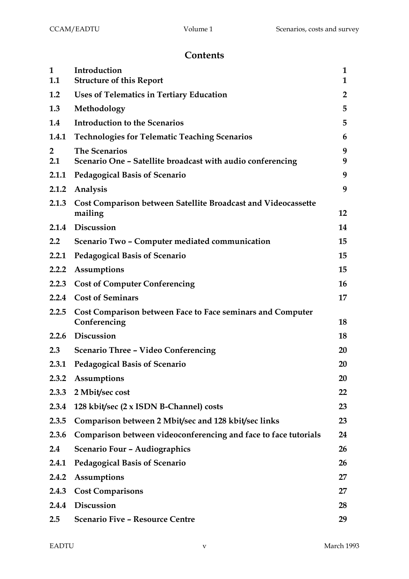# **Contents**

| $\mathbf{1}$<br>1.1   | Introduction<br><b>Structure of this Report</b>                                    | 1<br>$\mathbf{1}$ |
|-----------------------|------------------------------------------------------------------------------------|-------------------|
| 1.2                   | <b>Uses of Telematics in Tertiary Education</b>                                    | $\overline{2}$    |
| 1.3                   | Methodology                                                                        | 5                 |
| 1.4                   | <b>Introduction to the Scenarios</b>                                               | 5                 |
| 1.4.1                 | <b>Technologies for Telematic Teaching Scenarios</b>                               | 6                 |
| $\overline{2}$<br>2.1 | <b>The Scenarios</b><br>Scenario One - Satellite broadcast with audio conferencing | 9<br>9            |
| 2.1.1                 | <b>Pedagogical Basis of Scenario</b>                                               | 9                 |
| 2.1.2                 | Analysis                                                                           | 9                 |
| 2.1.3                 | Cost Comparison between Satellite Broadcast and Videocassette<br>mailing           | 12                |
|                       | 2.1.4 Discussion                                                                   | 14                |
| 2.2                   | Scenario Two - Computer mediated communication                                     | 15                |
| 2.2.1                 | <b>Pedagogical Basis of Scenario</b>                                               | 15                |
| 2.2.2                 | Assumptions                                                                        | 15                |
| 2.2.3                 | <b>Cost of Computer Conferencing</b>                                               | 16                |
| 2.2.4                 | <b>Cost of Seminars</b>                                                            | 17                |
| 2.2.5                 | Cost Comparison between Face to Face seminars and Computer<br>Conferencing         | 18                |
| 2.2.6                 | Discussion                                                                         | 18                |
| 2.3                   | <b>Scenario Three - Video Conferencing</b>                                         | 20                |
| 2.3.1                 | <b>Pedagogical Basis of Scenario</b>                                               | 20                |
| 2.3.2                 | Assumptions                                                                        | 20                |
| 2.3.3                 | 2 Mbit/sec cost                                                                    | 22                |
| 2.3.4                 | 128 kbit/sec (2 x ISDN B-Channel) costs                                            | 23                |
| 2.3.5                 | Comparison between 2 Mbit/sec and 128 kbit/sec links                               | 23                |
| 2.3.6                 | Comparison between videoconferencing and face to face tutorials                    | 24                |
| 2.4                   | Scenario Four - Audiographics                                                      | 26                |
| 2.4.1                 | <b>Pedagogical Basis of Scenario</b>                                               | 26                |
| 2.4.2                 | <b>Assumptions</b>                                                                 | 27                |
| 2.4.3                 | <b>Cost Comparisons</b>                                                            | 27                |
| 2.4.4                 | Discussion                                                                         | 28                |
| 2.5                   | <b>Scenario Five - Resource Centre</b>                                             | 29                |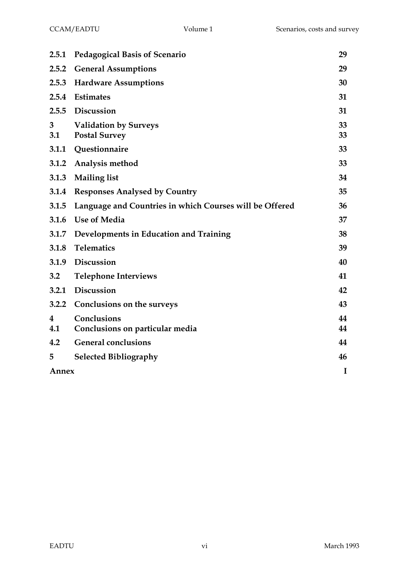| 2.5.1    | <b>Pedagogical Basis of Scenario</b>                    | 29       |
|----------|---------------------------------------------------------|----------|
| 2.5.2    | <b>General Assumptions</b>                              | 29       |
| 2.5.3    | <b>Hardware Assumptions</b>                             | 30       |
| 2.5.4    | Estimates                                               | 31       |
| 2.5.5    | <b>Discussion</b>                                       | 31       |
| 3<br>3.1 | <b>Validation by Surveys</b><br><b>Postal Survey</b>    | 33<br>33 |
| 3.1.1    | Questionnaire                                           | 33       |
| 3.1.2    | Analysis method                                         | 33       |
| 3.1.3    | <b>Mailing list</b>                                     | 34       |
| 3.1.4    | <b>Responses Analysed by Country</b>                    | 35       |
| 3.1.5    | Language and Countries in which Courses will be Offered | 36       |
| 3.1.6    | <b>Use of Media</b>                                     | 37       |
| 3.1.7    | Developments in Education and Training                  | 38       |
| 3.1.8    | <b>Telematics</b>                                       | 39       |
| 3.1.9    | Discussion                                              | 40       |
| 3.2      | <b>Telephone Interviews</b>                             | 41       |
| 3.2.1    | <b>Discussion</b>                                       | 42       |
| 3.2.2    | <b>Conclusions on the surveys</b>                       | 43       |
| 4        | Conclusions                                             | 44       |
| 4.1      | Conclusions on particular media                         | 44       |
| 4.2      | <b>General conclusions</b>                              | 44       |
| 5        | <b>Selected Bibliography</b>                            | 46       |
| Annex    |                                                         | I        |
|          |                                                         |          |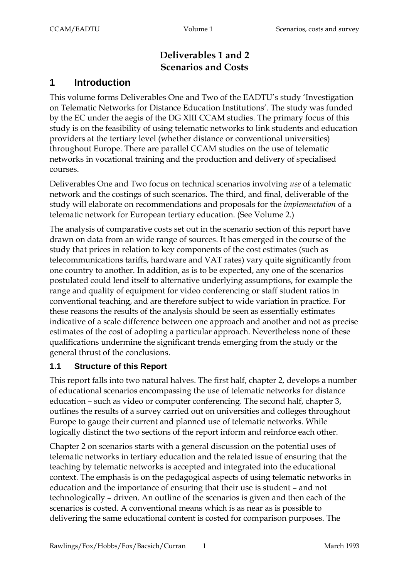# **Deliverables 1 and 2 Scenarios and Costs**

# **1 Introduction**

This volume forms Deliverables One and Two of the EADTU's study 'Investigation on Telematic Networks for Distance Education Institutions'. The study was funded by the EC under the aegis of the DG XIII CCAM studies. The primary focus of this study is on the feasibility of using telematic networks to link students and education providers at the tertiary level (whether distance or conventional universities) throughout Europe. There are parallel CCAM studies on the use of telematic networks in vocational training and the production and delivery of specialised courses.

Deliverables One and Two focus on technical scenarios involving *use* of a telematic network and the costings of such scenarios. The third, and final, deliverable of the study will elaborate on recommendations and proposals for the *implementation* of a telematic network for European tertiary education. (See Volume 2.)

The analysis of comparative costs set out in the scenario section of this report have drawn on data from an wide range of sources. It has emerged in the course of the study that prices in relation to key components of the cost estimates (such as telecommunications tariffs, hardware and VAT rates) vary quite significantly from one country to another. In addition, as is to be expected, any one of the scenarios postulated could lend itself to alternative underlying assumptions, for example the range and quality of equipment for video conferencing or staff student ratios in conventional teaching, and are therefore subject to wide variation in practice. For these reasons the results of the analysis should be seen as essentially estimates indicative of a scale difference between one approach and another and not as precise estimates of the cost of adopting a particular approach. Nevertheless none of these qualifications undermine the significant trends emerging from the study or the general thrust of the conclusions.

# **1.1 Structure of this Report**

This report falls into two natural halves. The first half, chapter 2, develops a number of educational scenarios encompassing the use of telematic networks for distance education – such as video or computer conferencing. The second half, chapter 3, outlines the results of a survey carried out on universities and colleges throughout Europe to gauge their current and planned use of telematic networks. While logically distinct the two sections of the report inform and reinforce each other.

Chapter 2 on scenarios starts with a general discussion on the potential uses of telematic networks in tertiary education and the related issue of ensuring that the teaching by telematic networks is accepted and integrated into the educational context. The emphasis is on the pedagogical aspects of using telematic networks in education and the importance of ensuring that their use is student – and not technologically – driven. An outline of the scenarios is given and then each of the scenarios is costed. A conventional means which is as near as is possible to delivering the same educational content is costed for comparison purposes. The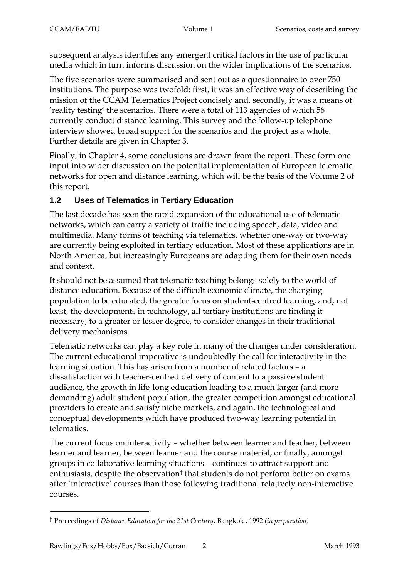subsequent analysis identifies any emergent critical factors in the use of particular media which in turn informs discussion on the wider implications of the scenarios.

The five scenarios were summarised and sent out as a questionnaire to over 750 institutions. The purpose was twofold: first, it was an effective way of describing the mission of the CCAM Telematics Project concisely and, secondly, it was a means of 'reality testing' the scenarios. There were a total of 113 agencies of which 56 currently conduct distance learning. This survey and the follow-up telephone interview showed broad support for the scenarios and the project as a whole. Further details are given in Chapter 3.

Finally, in Chapter 4, some conclusions are drawn from the report. These form one input into wider discussion on the potential implementation of European telematic networks for open and distance learning, which will be the basis of the Volume 2 of this report.

# **1.2 Uses of Telematics in Tertiary Education**

The last decade has seen the rapid expansion of the educational use of telematic networks, which can carry a variety of traffic including speech, data, video and multimedia. Many forms of teaching via telematics, whether one-way or two-way are currently being exploited in tertiary education. Most of these applications are in North America, but increasingly Europeans are adapting them for their own needs and context.

It should not be assumed that telematic teaching belongs solely to the world of distance education. Because of the difficult economic climate, the changing population to be educated, the greater focus on student-centred learning, and, not least, the developments in technology, all tertiary institutions are finding it necessary, to a greater or lesser degree, to consider changes in their traditional delivery mechanisms.

Telematic networks can play a key role in many of the changes under consideration. The current educational imperative is undoubtedly the call for interactivity in the learning situation. This has arisen from a number of related factors – a dissatisfaction with teacher-centred delivery of content to a passive student audience, the growth in life-long education leading to a much larger (and more demanding) adult student population, the greater competition amongst educational providers to create and satisfy niche markets, and again, the technological and conceptual developments which have produced two-way learning potential in telematics.

The current focus on interactivity – whether between learner and teacher, between learner and learner, between learner and the course material, or finally, amongst groups in collaborative learning situations – continues to attract support and enthusiasts, despite the observation† that students do not perform better on exams after 'interactive' courses than those following traditional relatively non-interactive courses.

 $\overline{a}$ 

<sup>†</sup> Proceedings of *Distance Education for the 21st Century*, Bangkok , 1992 (*in preparation)*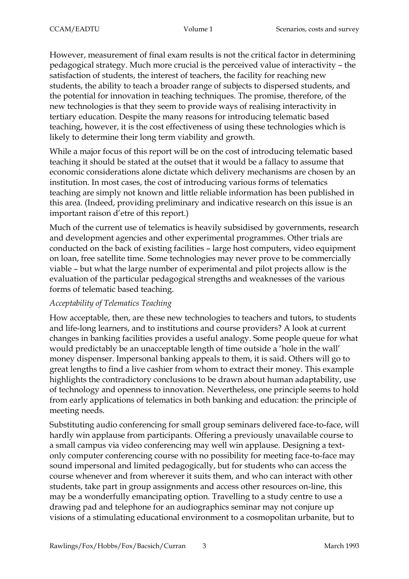However, measurement of final exam results is not the critical factor in determining pedagogical strategy. Much more crucial is the perceived value of interactivity – the satisfaction of students, the interest of teachers, the facility for reaching new students, the ability to teach a broader range of subjects to dispersed students, and the potential for innovation in teaching techniques. The promise, therefore, of the new technologies is that they seem to provide ways of realising interactivity in tertiary education. Despite the many reasons for introducing telematic based teaching, however, it is the cost effectiveness of using these technologies which is likely to determine their long term viability and growth.

While a major focus of this report will be on the cost of introducing telematic based teaching it should be stated at the outset that it would be a fallacy to assume that economic considerations alone dictate which delivery mechanisms are chosen by an institution. In most cases, the cost of introducing various forms of telematics teaching are simply not known and little reliable information has been published in this area. (Indeed, providing preliminary and indicative research on this issue is an important raison d'etre of this report.)

Much of the current use of telematics is heavily subsidised by governments, research and development agencies and other experimental programmes. Other trials are conducted on the back of existing facilities – large host computers, video equipment on loan, free satellite time. Some technologies may never prove to be commercially viable – but what the large number of experimental and pilot projects allow is the evaluation of the particular pedagogical strengths and weaknesses of the various forms of telematic based teaching.

# *Acceptability of Telematics Teaching*

How acceptable, then, are these new technologies to teachers and tutors, to students and life-long learners, and to institutions and course providers? A look at current changes in banking facilities provides a useful analogy. Some people queue for what would predictably be an unacceptable length of time outside a 'hole in the wall' money dispenser. Impersonal banking appeals to them, it is said. Others will go to great lengths to find a live cashier from whom to extract their money. This example highlights the contradictory conclusions to be drawn about human adaptability, use of technology and openness to innovation. Nevertheless, one principle seems to hold from early applications of telematics in both banking and education: the principle of meeting needs.

Substituting audio conferencing for small group seminars delivered face-to-face, will hardly win applause from participants. Offering a previously unavailable course to a small campus via video conferencing may well win applause. Designing a textonly computer conferencing course with no possibility for meeting face-to-face may sound impersonal and limited pedagogically, but for students who can access the course whenever and from wherever it suits them, and who can interact with other students, take part in group assignments and access other resources on-line, this may be a wonderfully emancipating option. Travelling to a study centre to use a drawing pad and telephone for an audiographics seminar may not conjure up visions of a stimulating educational environment to a cosmopolitan urbanite, but to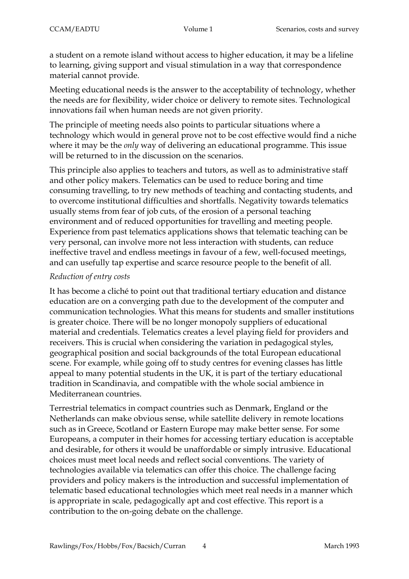a student on a remote island without access to higher education, it may be a lifeline to learning, giving support and visual stimulation in a way that correspondence material cannot provide.

Meeting educational needs is the answer to the acceptability of technology, whether the needs are for flexibility, wider choice or delivery to remote sites. Technological innovations fail when human needs are not given priority.

The principle of meeting needs also points to particular situations where a technology which would in general prove not to be cost effective would find a niche where it may be the *only* way of delivering an educational programme. This issue will be returned to in the discussion on the scenarios.

This principle also applies to teachers and tutors, as well as to administrative staff and other policy makers. Telematics can be used to reduce boring and time consuming travelling, to try new methods of teaching and contacting students, and to overcome institutional difficulties and shortfalls. Negativity towards telematics usually stems from fear of job cuts, of the erosion of a personal teaching environment and of reduced opportunities for travelling and meeting people. Experience from past telematics applications shows that telematic teaching can be very personal, can involve more not less interaction with students, can reduce ineffective travel and endless meetings in favour of a few, well-focused meetings, and can usefully tap expertise and scarce resource people to the benefit of all.

#### *Reduction of entry costs*

It has become a cliché to point out that traditional tertiary education and distance education are on a converging path due to the development of the computer and communication technologies. What this means for students and smaller institutions is greater choice. There will be no longer monopoly suppliers of educational material and credentials. Telematics creates a level playing field for providers and receivers. This is crucial when considering the variation in pedagogical styles, geographical position and social backgrounds of the total European educational scene. For example, while going off to study centres for evening classes has little appeal to many potential students in the UK, it is part of the tertiary educational tradition in Scandinavia, and compatible with the whole social ambience in Mediterranean countries.

Terrestrial telematics in compact countries such as Denmark, England or the Netherlands can make obvious sense, while satellite delivery in remote locations such as in Greece, Scotland or Eastern Europe may make better sense. For some Europeans, a computer in their homes for accessing tertiary education is acceptable and desirable, for others it would be unaffordable or simply intrusive. Educational choices must meet local needs and reflect social conventions. The variety of technologies available via telematics can offer this choice. The challenge facing providers and policy makers is the introduction and successful implementation of telematic based educational technologies which meet real needs in a manner which is appropriate in scale, pedagogically apt and cost effective. This report is a contribution to the on-going debate on the challenge.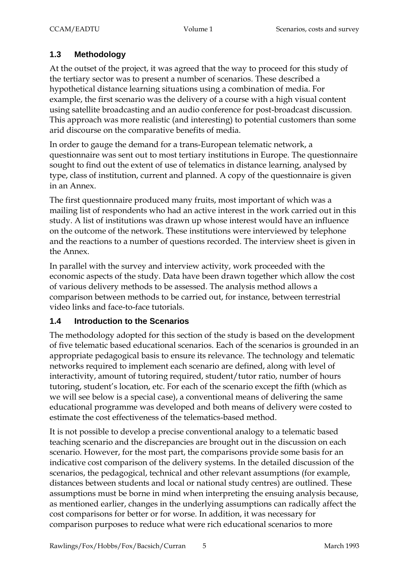# **1.3 Methodology**

At the outset of the project, it was agreed that the way to proceed for this study of the tertiary sector was to present a number of scenarios. These described a hypothetical distance learning situations using a combination of media. For example, the first scenario was the delivery of a course with a high visual content using satellite broadcasting and an audio conference for post-broadcast discussion. This approach was more realistic (and interesting) to potential customers than some arid discourse on the comparative benefits of media.

In order to gauge the demand for a trans-European telematic network, a questionnaire was sent out to most tertiary institutions in Europe. The questionnaire sought to find out the extent of use of telematics in distance learning, analysed by type, class of institution, current and planned. A copy of the questionnaire is given in an Annex.

The first questionnaire produced many fruits, most important of which was a mailing list of respondents who had an active interest in the work carried out in this study. A list of institutions was drawn up whose interest would have an influence on the outcome of the network. These institutions were interviewed by telephone and the reactions to a number of questions recorded. The interview sheet is given in the Annex.

In parallel with the survey and interview activity, work proceeded with the economic aspects of the study. Data have been drawn together which allow the cost of various delivery methods to be assessed. The analysis method allows a comparison between methods to be carried out, for instance, between terrestrial video links and face-to-face tutorials.

# **1.4 Introduction to the Scenarios**

The methodology adopted for this section of the study is based on the development of five telematic based educational scenarios. Each of the scenarios is grounded in an appropriate pedagogical basis to ensure its relevance. The technology and telematic networks required to implement each scenario are defined, along with level of interactivity, amount of tutoring required, student/tutor ratio, number of hours tutoring, student's location, etc. For each of the scenario except the fifth (which as we will see below is a special case), a conventional means of delivering the same educational programme was developed and both means of delivery were costed to estimate the cost effectiveness of the telematics-based method.

It is not possible to develop a precise conventional analogy to a telematic based teaching scenario and the discrepancies are brought out in the discussion on each scenario. However, for the most part, the comparisons provide some basis for an indicative cost comparison of the delivery systems. In the detailed discussion of the scenarios, the pedagogical, technical and other relevant assumptions (for example, distances between students and local or national study centres) are outlined. These assumptions must be borne in mind when interpreting the ensuing analysis because, as mentioned earlier, changes in the underlying assumptions can radically affect the cost comparisons for better or for worse. In addition, it was necessary for comparison purposes to reduce what were rich educational scenarios to more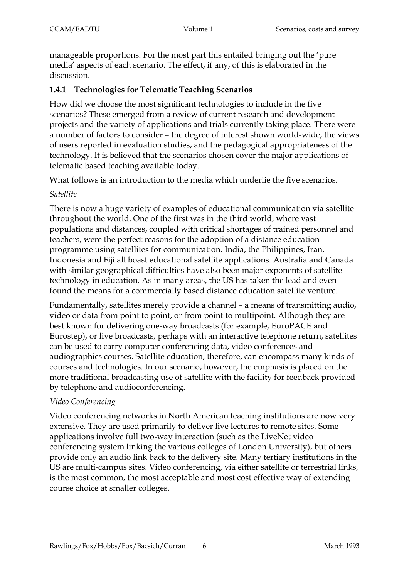manageable proportions. For the most part this entailed bringing out the 'pure media' aspects of each scenario. The effect, if any, of this is elaborated in the discussion.

# **1.4.1 Technologies for Telematic Teaching Scenarios**

How did we choose the most significant technologies to include in the five scenarios? These emerged from a review of current research and development projects and the variety of applications and trials currently taking place. There were a number of factors to consider – the degree of interest shown world-wide, the views of users reported in evaluation studies, and the pedagogical appropriateness of the technology. It is believed that the scenarios chosen cover the major applications of telematic based teaching available today.

What follows is an introduction to the media which underlie the five scenarios.

#### *Satellite*

There is now a huge variety of examples of educational communication via satellite throughout the world. One of the first was in the third world, where vast populations and distances, coupled with critical shortages of trained personnel and teachers, were the perfect reasons for the adoption of a distance education programme using satellites for communication. India, the Philippines, Iran, Indonesia and Fiji all boast educational satellite applications. Australia and Canada with similar geographical difficulties have also been major exponents of satellite technology in education. As in many areas, the US has taken the lead and even found the means for a commercially based distance education satellite venture.

Fundamentally, satellites merely provide a channel – a means of transmitting audio, video or data from point to point, or from point to multipoint. Although they are best known for delivering one-way broadcasts (for example, EuroPACE and Eurostep), or live broadcasts, perhaps with an interactive telephone return, satellites can be used to carry computer conferencing data, video conferences and audiographics courses. Satellite education, therefore, can encompass many kinds of courses and technologies. In our scenario, however, the emphasis is placed on the more traditional broadcasting use of satellite with the facility for feedback provided by telephone and audioconferencing.

# *Video Conferencing*

Video conferencing networks in North American teaching institutions are now very extensive. They are used primarily to deliver live lectures to remote sites. Some applications involve full two-way interaction (such as the LiveNet video conferencing system linking the various colleges of London University), but others provide only an audio link back to the delivery site. Many tertiary institutions in the US are multi-campus sites. Video conferencing, via either satellite or terrestrial links, is the most common, the most acceptable and most cost effective way of extending course choice at smaller colleges.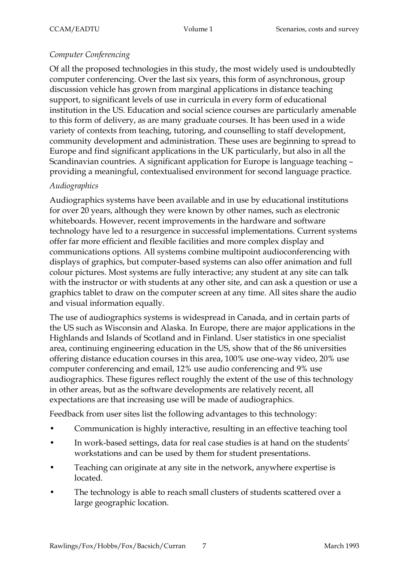### *Computer Conferencing*

Of all the proposed technologies in this study, the most widely used is undoubtedly computer conferencing. Over the last six years, this form of asynchronous, group discussion vehicle has grown from marginal applications in distance teaching support, to significant levels of use in curricula in every form of educational institution in the US. Education and social science courses are particularly amenable to this form of delivery, as are many graduate courses. It has been used in a wide variety of contexts from teaching, tutoring, and counselling to staff development, community development and administration. These uses are beginning to spread to Europe and find significant applications in the UK particularly, but also in all the Scandinavian countries. A significant application for Europe is language teaching – providing a meaningful, contextualised environment for second language practice.

#### *Audiographics*

Audiographics systems have been available and in use by educational institutions for over 20 years, although they were known by other names, such as electronic whiteboards. However, recent improvements in the hardware and software technology have led to a resurgence in successful implementations. Current systems offer far more efficient and flexible facilities and more complex display and communications options. All systems combine multipoint audioconferencing with displays of graphics, but computer-based systems can also offer animation and full colour pictures. Most systems are fully interactive; any student at any site can talk with the instructor or with students at any other site, and can ask a question or use a graphics tablet to draw on the computer screen at any time. All sites share the audio and visual information equally.

The use of audiographics systems is widespread in Canada, and in certain parts of the US such as Wisconsin and Alaska. In Europe, there are major applications in the Highlands and Islands of Scotland and in Finland. User statistics in one specialist area, continuing engineering education in the US, show that of the 86 universities offering distance education courses in this area, 100% use one-way video, 20% use computer conferencing and email, 12% use audio conferencing and 9% use audiographics. These figures reflect roughly the extent of the use of this technology in other areas, but as the software developments are relatively recent, all expectations are that increasing use will be made of audiographics.

Feedback from user sites list the following advantages to this technology:

- Communication is highly interactive, resulting in an effective teaching tool
- In work-based settings, data for real case studies is at hand on the students' workstations and can be used by them for student presentations.
- Teaching can originate at any site in the network, anywhere expertise is located.
- The technology is able to reach small clusters of students scattered over a large geographic location.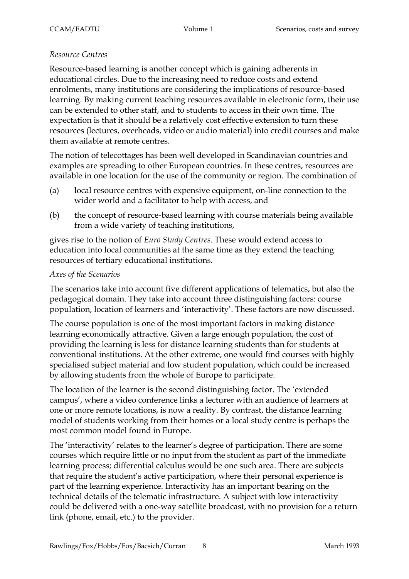#### *Resource Centres*

Resource-based learning is another concept which is gaining adherents in educational circles. Due to the increasing need to reduce costs and extend enrolments, many institutions are considering the implications of resource-based learning. By making current teaching resources available in electronic form, their use can be extended to other staff, and to students to access in their own time. The expectation is that it should be a relatively cost effective extension to turn these resources (lectures, overheads, video or audio material) into credit courses and make them available at remote centres.

The notion of telecottages has been well developed in Scandinavian countries and examples are spreading to other European countries. In these centres, resources are available in one location for the use of the community or region. The combination of

- (a) local resource centres with expensive equipment, on-line connection to the wider world and a facilitator to help with access, and
- (b) the concept of resource-based learning with course materials being available from a wide variety of teaching institutions,

gives rise to the notion of *Euro Study Centres*. These would extend access to education into local communities at the same time as they extend the teaching resources of tertiary educational institutions.

#### *Axes of the Scenarios*

The scenarios take into account five different applications of telematics, but also the pedagogical domain. They take into account three distinguishing factors: course population, location of learners and 'interactivity'. These factors are now discussed.

The course population is one of the most important factors in making distance learning economically attractive. Given a large enough population, the cost of providing the learning is less for distance learning students than for students at conventional institutions. At the other extreme, one would find courses with highly specialised subject material and low student population, which could be increased by allowing students from the whole of Europe to participate.

The location of the learner is the second distinguishing factor. The 'extended campus', where a video conference links a lecturer with an audience of learners at one or more remote locations, is now a reality. By contrast, the distance learning model of students working from their homes or a local study centre is perhaps the most common model found in Europe.

The 'interactivity' relates to the learner's degree of participation. There are some courses which require little or no input from the student as part of the immediate learning process; differential calculus would be one such area. There are subjects that require the student's active participation, where their personal experience is part of the learning experience. Interactivity has an important bearing on the technical details of the telematic infrastructure. A subject with low interactivity could be delivered with a one-way satellite broadcast, with no provision for a return link (phone, email, etc.) to the provider.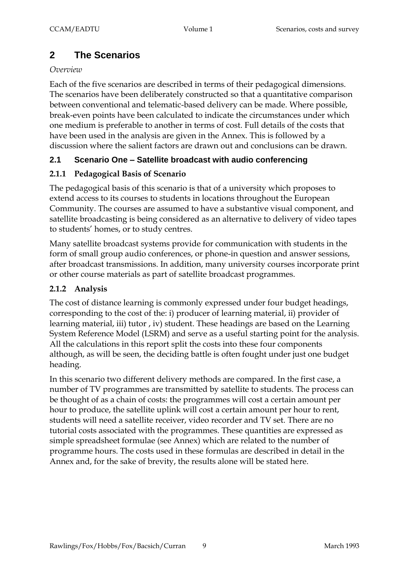# **2 The Scenarios**

#### *Overview*

Each of the five scenarios are described in terms of their pedagogical dimensions. The scenarios have been deliberately constructed so that a quantitative comparison between conventional and telematic-based delivery can be made. Where possible, break-even points have been calculated to indicate the circumstances under which one medium is preferable to another in terms of cost. Full details of the costs that have been used in the analysis are given in the Annex. This is followed by a discussion where the salient factors are drawn out and conclusions can be drawn.

# **2.1 Scenario One – Satellite broadcast with audio conferencing**

# **2.1.1 Pedagogical Basis of Scenario**

The pedagogical basis of this scenario is that of a university which proposes to extend access to its courses to students in locations throughout the European Community. The courses are assumed to have a substantive visual component, and satellite broadcasting is being considered as an alternative to delivery of video tapes to students' homes, or to study centres.

Many satellite broadcast systems provide for communication with students in the form of small group audio conferences, or phone-in question and answer sessions, after broadcast transmissions. In addition, many university courses incorporate print or other course materials as part of satellite broadcast programmes.

# **2.1.2 Analysis**

The cost of distance learning is commonly expressed under four budget headings, corresponding to the cost of the: i) producer of learning material, ii) provider of learning material, iii) tutor , iv) student. These headings are based on the Learning System Reference Model (LSRM) and serve as a useful starting point for the analysis. All the calculations in this report split the costs into these four components although, as will be seen, the deciding battle is often fought under just one budget heading.

In this scenario two different delivery methods are compared. In the first case, a number of TV programmes are transmitted by satellite to students. The process can be thought of as a chain of costs: the programmes will cost a certain amount per hour to produce, the satellite uplink will cost a certain amount per hour to rent, students will need a satellite receiver, video recorder and TV set. There are no tutorial costs associated with the programmes. These quantities are expressed as simple spreadsheet formulae (see Annex) which are related to the number of programme hours. The costs used in these formulas are described in detail in the Annex and, for the sake of brevity, the results alone will be stated here.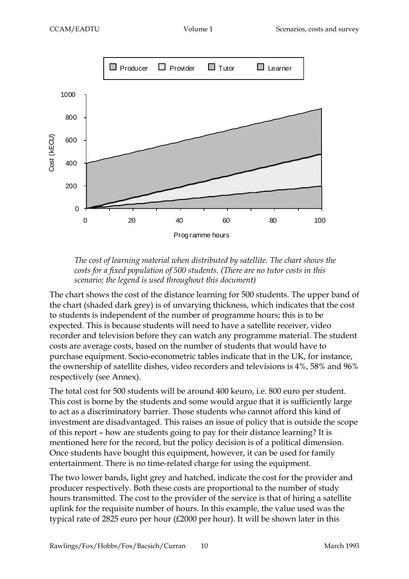



The chart shows the cost of the distance learning for 500 students. The upper band of the chart (shaded dark grey) is of unvarying thickness, which indicates that the cost to students is independent of the number of programme hours; this is to be expected. This is because students will need to have a satellite receiver, video recorder and television before they can watch any programme material. The student costs are average costs, based on the number of students that would have to purchase equipment. Socio-econometric tables indicate that in the UK, for instance, the ownership of satellite dishes, video recorders and televisions is 4%, 58% and 96% respectively (see Annex).

The total cost for 500 students will be around 400 keuro, i.e. 800 euro per student. This cost is borne by the students and some would argue that it is sufficiently large to act as a discriminatory barrier. Those students who cannot afford this kind of investment are disadvantaged. This raises an issue of policy that is outside the scope of this report – how are students going to pay for their distance learning? It is mentioned here for the record, but the policy decision is of a political dimension. Once students have bought this equipment, however, it can be used for family entertainment. There is no time-related charge for using the equipment.

The two lower bands, light grey and hatched, indicate the cost for the provider and producer respectively. Both these costs are proportional to the number of study hours transmitted. The cost to the provider of the service is that of hiring a satellite uplink for the requisite number of hours. In this example, the value used was the typical rate of 2825 euro per hour (£2000 per hour). It will be shown later in this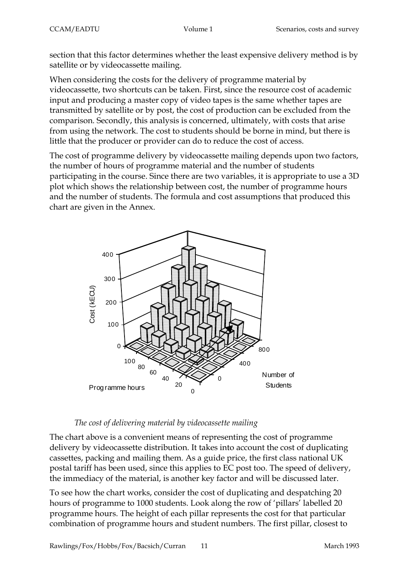section that this factor determines whether the least expensive delivery method is by satellite or by videocassette mailing.

When considering the costs for the delivery of programme material by videocassette, two shortcuts can be taken. First, since the resource cost of academic input and producing a master copy of video tapes is the same whether tapes are transmitted by satellite or by post, the cost of production can be excluded from the comparison. Secondly, this analysis is concerned, ultimately, with costs that arise from using the network. The cost to students should be borne in mind, but there is little that the producer or provider can do to reduce the cost of access.

The cost of programme delivery by videocassette mailing depends upon two factors, the number of hours of programme material and the number of students participating in the course. Since there are two variables, it is appropriate to use a 3D plot which shows the relationship between cost, the number of programme hours and the number of students. The formula and cost assumptions that produced this chart are given in the Annex.



# *The cost of delivering material by videocassette mailing*

The chart above is a convenient means of representing the cost of programme delivery by videocassette distribution. It takes into account the cost of duplicating cassettes, packing and mailing them. As a guide price, the first class national UK postal tariff has been used, since this applies to EC post too. The speed of delivery, the immediacy of the material, is another key factor and will be discussed later.

To see how the chart works, consider the cost of duplicating and despatching 20 hours of programme to 1000 students. Look along the row of 'pillars' labelled 20 programme hours. The height of each pillar represents the cost for that particular combination of programme hours and student numbers. The first pillar, closest to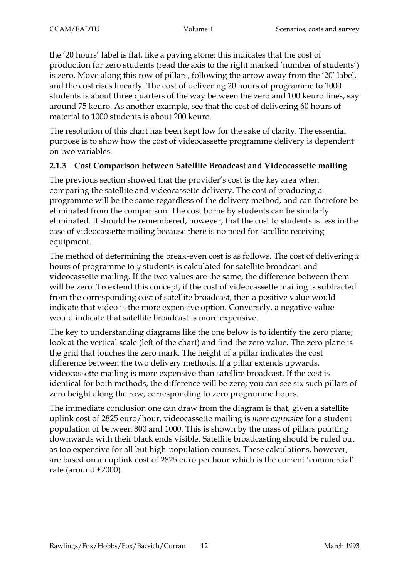the '20 hours' label is flat, like a paving stone: this indicates that the cost of production for zero students (read the axis to the right marked 'number of students') is zero. Move along this row of pillars, following the arrow away from the '20' label, and the cost rises linearly. The cost of delivering 20 hours of programme to 1000 students is about three quarters of the way between the zero and 100 keuro lines, say around 75 keuro. As another example, see that the cost of delivering 60 hours of material to 1000 students is about 200 keuro.

The resolution of this chart has been kept low for the sake of clarity. The essential purpose is to show how the cost of videocassette programme delivery is dependent on two variables.

# **2.1.3 Cost Comparison between Satellite Broadcast and Videocassette mailing**

The previous section showed that the provider's cost is the key area when comparing the satellite and videocassette delivery. The cost of producing a programme will be the same regardless of the delivery method, and can therefore be eliminated from the comparison. The cost borne by students can be similarly eliminated. It should be remembered, however, that the cost to students is less in the case of videocassette mailing because there is no need for satellite receiving equipment.

The method of determining the break-even cost is as follows. The cost of delivering *x* hours of programme to *y* students is calculated for satellite broadcast and videocassette mailing. If the two values are the same, the difference between them will be zero. To extend this concept, if the cost of videocassette mailing is subtracted from the corresponding cost of satellite broadcast, then a positive value would indicate that video is the more expensive option. Conversely, a negative value would indicate that satellite broadcast is more expensive.

The key to understanding diagrams like the one below is to identify the zero plane; look at the vertical scale (left of the chart) and find the zero value. The zero plane is the grid that touches the zero mark. The height of a pillar indicates the cost difference between the two delivery methods. If a pillar extends upwards, videocassette mailing is more expensive than satellite broadcast. If the cost is identical for both methods, the difference will be zero; you can see six such pillars of zero height along the row, corresponding to zero programme hours.

The immediate conclusion one can draw from the diagram is that, given a satellite uplink cost of 2825 euro/hour, videocassette mailing is *more expensive* for a student population of between 800 and 1000. This is shown by the mass of pillars pointing downwards with their black ends visible. Satellite broadcasting should be ruled out as too expensive for all but high-population courses. These calculations, however, are based on an uplink cost of 2825 euro per hour which is the current 'commercial' rate (around £2000).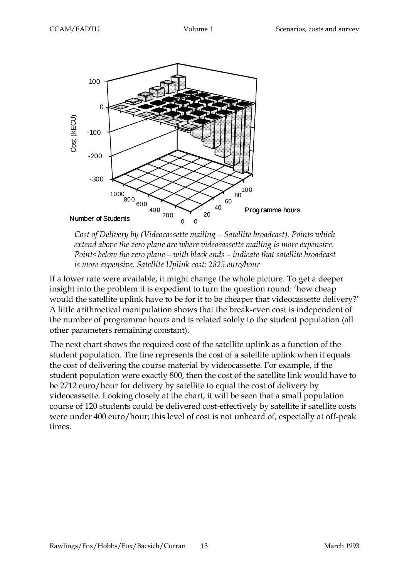

*Cost of Delivery by (Videocassette mailing – Satellite broadcast). Points which extend above the zero plane are where videocassette mailing is more expensive. Points below the zero plane – with black ends – indicate that satellite broadcast is more expensive. Satellite Uplink cost: 2825 euro/hour*

If a lower rate were available, it might change the whole picture. To get a deeper insight into the problem it is expedient to turn the question round: 'how cheap would the satellite uplink have to be for it to be cheaper that videocassette delivery?' A little arithmetical manipulation shows that the break-even cost is independent of the number of programme hours and is related solely to the student population (all other parameters remaining constant).

The next chart shows the required cost of the satellite uplink as a function of the student population. The line represents the cost of a satellite uplink when it equals the cost of delivering the course material by videocassette. For example, if the student population were exactly 800, then the cost of the satellite link would have to be 2712 euro/hour for delivery by satellite to equal the cost of delivery by videocassette. Looking closely at the chart, it will be seen that a small population course of 120 students could be delivered cost-effectively by satellite if satellite costs were under 400 euro/hour; this level of cost is not unheard of, especially at off-peak times.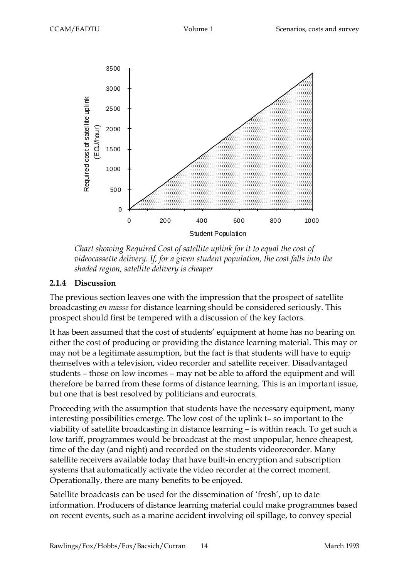

*Chart showing Required Cost of satellite uplink for it to equal the cost of videocassette delivery. If, for a given student population, the cost falls into the shaded region, satellite delivery is cheaper*

#### **2.1.4 Discussion**

The previous section leaves one with the impression that the prospect of satellite broadcasting *en masse* for distance learning should be considered seriously. This prospect should first be tempered with a discussion of the key factors.

It has been assumed that the cost of students' equipment at home has no bearing on either the cost of producing or providing the distance learning material. This may or may not be a legitimate assumption, but the fact is that students will have to equip themselves with a television, video recorder and satellite receiver. Disadvantaged students – those on low incomes – may not be able to afford the equipment and will therefore be barred from these forms of distance learning. This is an important issue, but one that is best resolved by politicians and eurocrats.

Proceeding with the assumption that students have the necessary equipment, many interesting possibilities emerge. The low cost of the uplink t– so important to the viability of satellite broadcasting in distance learning – is within reach. To get such a low tariff, programmes would be broadcast at the most unpopular, hence cheapest, time of the day (and night) and recorded on the students videorecorder. Many satellite receivers available today that have built-in encryption and subscription systems that automatically activate the video recorder at the correct moment. Operationally, there are many benefits to be enjoyed.

Satellite broadcasts can be used for the dissemination of 'fresh', up to date information. Producers of distance learning material could make programmes based on recent events, such as a marine accident involving oil spillage, to convey special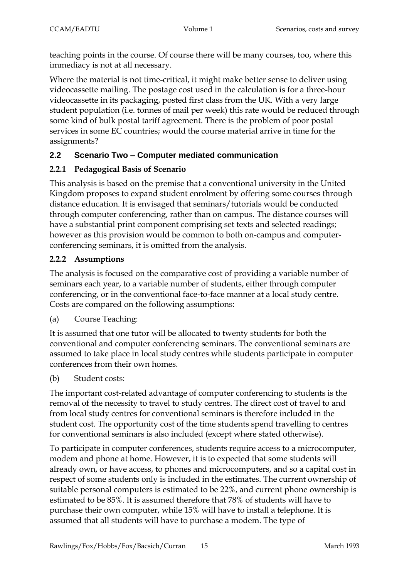teaching points in the course. Of course there will be many courses, too, where this immediacy is not at all necessary.

Where the material is not time-critical, it might make better sense to deliver using videocassette mailing. The postage cost used in the calculation is for a three-hour videocassette in its packaging, posted first class from the UK. With a very large student population (i.e. tonnes of mail per week) this rate would be reduced through some kind of bulk postal tariff agreement. There is the problem of poor postal services in some EC countries; would the course material arrive in time for the assignments?

# **2.2 Scenario Two – Computer mediated communication**

# **2.2.1 Pedagogical Basis of Scenario**

This analysis is based on the premise that a conventional university in the United Kingdom proposes to expand student enrolment by offering some courses through distance education. It is envisaged that seminars/tutorials would be conducted through computer conferencing, rather than on campus. The distance courses will have a substantial print component comprising set texts and selected readings; however as this provision would be common to both on-campus and computerconferencing seminars, it is omitted from the analysis.

# **2.2.2 Assumptions**

The analysis is focused on the comparative cost of providing a variable number of seminars each year, to a variable number of students, either through computer conferencing, or in the conventional face-to-face manner at a local study centre. Costs are compared on the following assumptions:

(a) Course Teaching:

It is assumed that one tutor will be allocated to twenty students for both the conventional and computer conferencing seminars. The conventional seminars are assumed to take place in local study centres while students participate in computer conferences from their own homes.

(b) Student costs:

The important cost-related advantage of computer conferencing to students is the removal of the necessity to travel to study centres. The direct cost of travel to and from local study centres for conventional seminars is therefore included in the student cost. The opportunity cost of the time students spend travelling to centres for conventional seminars is also included (except where stated otherwise).

To participate in computer conferences, students require access to a microcomputer, modem and phone at home. However, it is to expected that some students will already own, or have access, to phones and microcomputers, and so a capital cost in respect of some students only is included in the estimates. The current ownership of suitable personal computers is estimated to be 22%, and current phone ownership is estimated to be 85%. It is assumed therefore that 78% of students will have to purchase their own computer, while 15% will have to install a telephone. It is assumed that all students will have to purchase a modem. The type of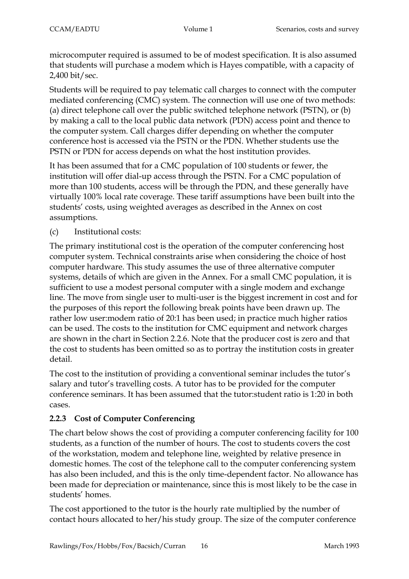microcomputer required is assumed to be of modest specification. It is also assumed that students will purchase a modem which is Hayes compatible, with a capacity of 2,400 bit/sec.

Students will be required to pay telematic call charges to connect with the computer mediated conferencing (CMC) system. The connection will use one of two methods: (a) direct telephone call over the public switched telephone network (PSTN), or (b) by making a call to the local public data network (PDN) access point and thence to the computer system. Call charges differ depending on whether the computer conference host is accessed via the PSTN or the PDN. Whether students use the PSTN or PDN for access depends on what the host institution provides.

It has been assumed that for a CMC population of 100 students or fewer, the institution will offer dial-up access through the PSTN. For a CMC population of more than 100 students, access will be through the PDN, and these generally have virtually 100% local rate coverage. These tariff assumptions have been built into the students' costs, using weighted averages as described in the Annex on cost assumptions.

(c) Institutional costs:

The primary institutional cost is the operation of the computer conferencing host computer system. Technical constraints arise when considering the choice of host computer hardware. This study assumes the use of three alternative computer systems, details of which are given in the Annex. For a small CMC population, it is sufficient to use a modest personal computer with a single modem and exchange line. The move from single user to multi-user is the biggest increment in cost and for the purposes of this report the following break points have been drawn up. The rather low user:modem ratio of 20:1 has been used; in practice much higher ratios can be used. The costs to the institution for CMC equipment and network charges are shown in the chart in Section 2.2.6. Note that the producer cost is zero and that the cost to students has been omitted so as to portray the institution costs in greater detail.

The cost to the institution of providing a conventional seminar includes the tutor's salary and tutor's travelling costs. A tutor has to be provided for the computer conference seminars. It has been assumed that the tutor:student ratio is 1:20 in both cases.

# **2.2.3 Cost of Computer Conferencing**

The chart below shows the cost of providing a computer conferencing facility for 100 students, as a function of the number of hours. The cost to students covers the cost of the workstation, modem and telephone line, weighted by relative presence in domestic homes. The cost of the telephone call to the computer conferencing system has also been included, and this is the only time-dependent factor. No allowance has been made for depreciation or maintenance, since this is most likely to be the case in students' homes.

The cost apportioned to the tutor is the hourly rate multiplied by the number of contact hours allocated to her/his study group. The size of the computer conference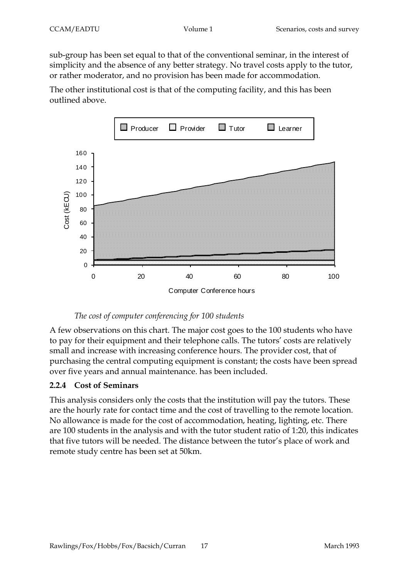sub-group has been set equal to that of the conventional seminar, in the interest of simplicity and the absence of any better strategy. No travel costs apply to the tutor, or rather moderator, and no provision has been made for accommodation.

The other institutional cost is that of the computing facility, and this has been outlined above.



#### *The cost of computer conferencing for 100 students*

A few observations on this chart. The major cost goes to the 100 students who have to pay for their equipment and their telephone calls. The tutors' costs are relatively small and increase with increasing conference hours. The provider cost, that of purchasing the central computing equipment is constant; the costs have been spread over five years and annual maintenance. has been included.

# **2.2.4 Cost of Seminars**

This analysis considers only the costs that the institution will pay the tutors. These are the hourly rate for contact time and the cost of travelling to the remote location. No allowance is made for the cost of accommodation, heating, lighting, etc. There are 100 students in the analysis and with the tutor student ratio of 1:20, this indicates that five tutors will be needed. The distance between the tutor's place of work and remote study centre has been set at 50km.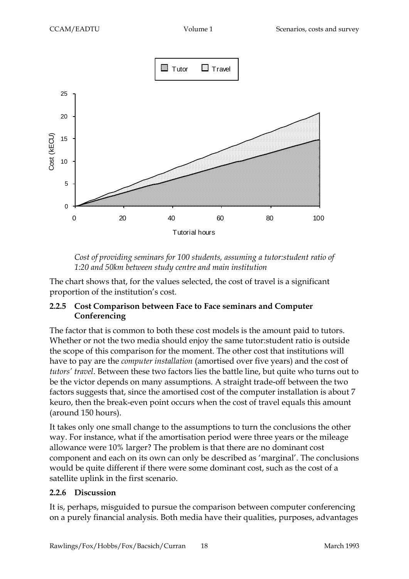

*Cost of providing seminars for 100 students, assuming a tutor:student ratio of 1:20 and 50km between study centre and main institution*

The chart shows that, for the values selected, the cost of travel is a significant proportion of the institution's cost.

# **2.2.5 Cost Comparison between Face to Face seminars and Computer Conferencing**

The factor that is common to both these cost models is the amount paid to tutors. Whether or not the two media should enjoy the same tutor:student ratio is outside the scope of this comparison for the moment. The other cost that institutions will have to pay are the *computer installation* (amortised over five years) and the cost of *tutors' travel*. Between these two factors lies the battle line, but quite who turns out to be the victor depends on many assumptions. A straight trade-off between the two factors suggests that, since the amortised cost of the computer installation is about 7 keuro, then the break-even point occurs when the cost of travel equals this amount (around 150 hours).

It takes only one small change to the assumptions to turn the conclusions the other way. For instance, what if the amortisation period were three years or the mileage allowance were 10% larger? The problem is that there are no dominant cost component and each on its own can only be described as 'marginal'. The conclusions would be quite different if there were some dominant cost, such as the cost of a satellite uplink in the first scenario.

# **2.2.6 Discussion**

It is, perhaps, misguided to pursue the comparison between computer conferencing on a purely financial analysis. Both media have their qualities, purposes, advantages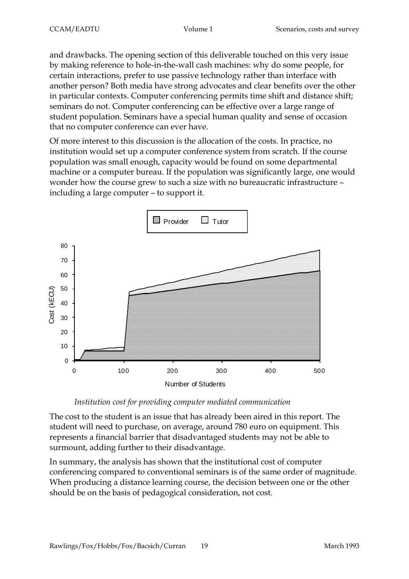and drawbacks. The opening section of this deliverable touched on this very issue by making reference to hole-in-the-wall cash machines: why do some people, for certain interactions, prefer to use passive technology rather than interface with another person? Both media have strong advocates and clear benefits over the other in particular contexts. Computer conferencing permits time shift and distance shift; seminars do not. Computer conferencing can be effective over a large range of student population. Seminars have a special human quality and sense of occasion that no computer conference can ever have.

Of more interest to this discussion is the allocation of the costs. In practice, no institution would set up a computer conference system from scratch. If the course population was small enough, capacity would be found on some departmental machine or a computer bureau. If the population was significantly large, one would wonder how the course grew to such a size with no bureaucratic infrastructure – including a large computer – to support it.



# *Institution cost for providing computer mediated communication*

The cost to the student is an issue that has already been aired in this report. The student will need to purchase, on average, around 780 euro on equipment. This represents a financial barrier that disadvantaged students may not be able to surmount, adding further to their disadvantage.

In summary, the analysis has shown that the institutional cost of computer conferencing compared to conventional seminars is of the same order of magnitude. When producing a distance learning course, the decision between one or the other should be on the basis of pedagogical consideration, not cost.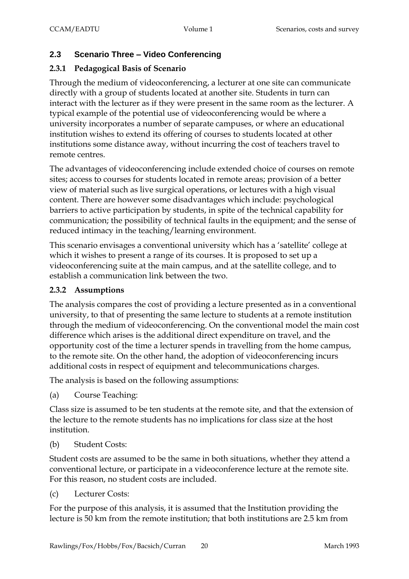# **2.3 Scenario Three – Video Conferencing**

# **2.3.1 Pedagogical Basis of Scenario**

Through the medium of videoconferencing, a lecturer at one site can communicate directly with a group of students located at another site. Students in turn can interact with the lecturer as if they were present in the same room as the lecturer. A typical example of the potential use of videoconferencing would be where a university incorporates a number of separate campuses, or where an educational institution wishes to extend its offering of courses to students located at other institutions some distance away, without incurring the cost of teachers travel to remote centres.

The advantages of videoconferencing include extended choice of courses on remote sites; access to courses for students located in remote areas; provision of a better view of material such as live surgical operations, or lectures with a high visual content. There are however some disadvantages which include: psychological barriers to active participation by students, in spite of the technical capability for communication; the possibility of technical faults in the equipment; and the sense of reduced intimacy in the teaching/learning environment.

This scenario envisages a conventional university which has a 'satellite' college at which it wishes to present a range of its courses. It is proposed to set up a videoconferencing suite at the main campus, and at the satellite college, and to establish a communication link between the two.

# **2.3.2 Assumptions**

The analysis compares the cost of providing a lecture presented as in a conventional university, to that of presenting the same lecture to students at a remote institution through the medium of videoconferencing. On the conventional model the main cost difference which arises is the additional direct expenditure on travel, and the opportunity cost of the time a lecturer spends in travelling from the home campus, to the remote site. On the other hand, the adoption of videoconferencing incurs additional costs in respect of equipment and telecommunications charges.

The analysis is based on the following assumptions:

(a) Course Teaching:

Class size is assumed to be ten students at the remote site, and that the extension of the lecture to the remote students has no implications for class size at the host institution.

(b) Student Costs:

Student costs are assumed to be the same in both situations, whether they attend a conventional lecture, or participate in a videoconference lecture at the remote site. For this reason, no student costs are included.

(c) Lecturer Costs:

For the purpose of this analysis, it is assumed that the Institution providing the lecture is 50 km from the remote institution; that both institutions are 2.5 km from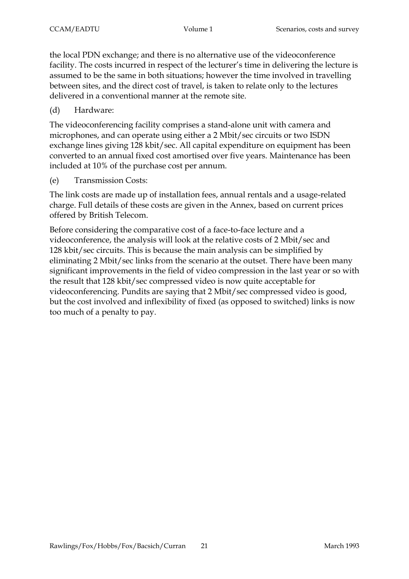the local PDN exchange; and there is no alternative use of the videoconference facility. The costs incurred in respect of the lecturer's time in delivering the lecture is assumed to be the same in both situations; however the time involved in travelling between sites, and the direct cost of travel, is taken to relate only to the lectures delivered in a conventional manner at the remote site.

(d) Hardware:

The videoconferencing facility comprises a stand-alone unit with camera and microphones, and can operate using either a 2 Mbit/sec circuits or two ISDN exchange lines giving 128 kbit/sec. All capital expenditure on equipment has been converted to an annual fixed cost amortised over five years. Maintenance has been included at 10% of the purchase cost per annum.

(e) Transmission Costs:

The link costs are made up of installation fees, annual rentals and a usage-related charge. Full details of these costs are given in the Annex, based on current prices offered by British Telecom.

Before considering the comparative cost of a face-to-face lecture and a videoconference, the analysis will look at the relative costs of 2 Mbit/sec and 128 kbit/sec circuits. This is because the main analysis can be simplified by eliminating 2 Mbit/sec links from the scenario at the outset. There have been many significant improvements in the field of video compression in the last year or so with the result that 128 kbit/sec compressed video is now quite acceptable for videoconferencing. Pundits are saying that 2 Mbit/sec compressed video is good, but the cost involved and inflexibility of fixed (as opposed to switched) links is now too much of a penalty to pay.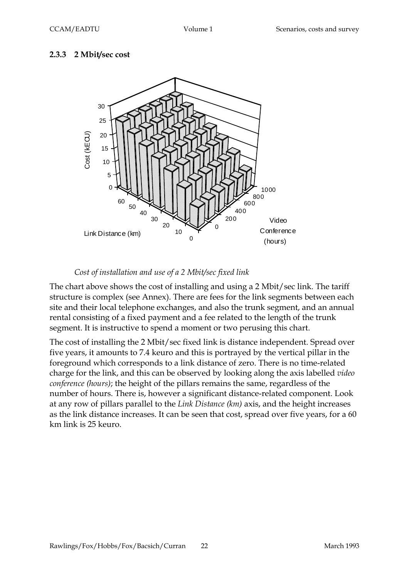# **2.3.3 2 Mbit/sec cost**



# *Cost of installation and use of a 2 Mbit/sec fixed link*

The chart above shows the cost of installing and using a 2 Mbit/sec link. The tariff structure is complex (see Annex). There are fees for the link segments between each site and their local telephone exchanges, and also the trunk segment, and an annual rental consisting of a fixed payment and a fee related to the length of the trunk segment. It is instructive to spend a moment or two perusing this chart.

The cost of installing the 2 Mbit/sec fixed link is distance independent. Spread over five years, it amounts to 7.4 keuro and this is portrayed by the vertical pillar in the foreground which corresponds to a link distance of zero. There is no time-related charge for the link, and this can be observed by looking along the axis labelled *video conference (hours)*; the height of the pillars remains the same, regardless of the number of hours. There is, however a significant distance-related component. Look at any row of pillars parallel to the *Link Distance (km)* axis, and the height increases as the link distance increases. It can be seen that cost, spread over five years, for a 60 km link is 25 keuro.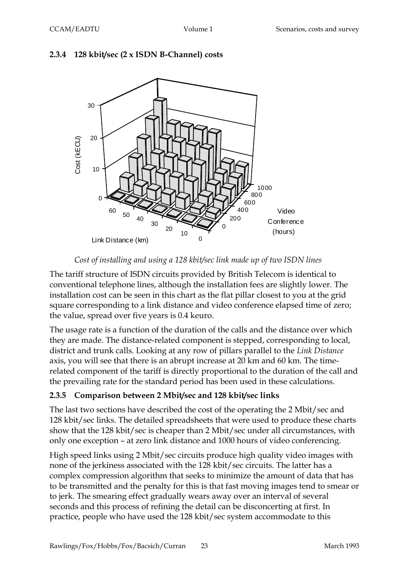



*Cost of installing and using a 128 kbit/sec link made up of two ISDN lines*

The tariff structure of ISDN circuits provided by British Telecom is identical to conventional telephone lines, although the installation fees are slightly lower. The installation cost can be seen in this chart as the flat pillar closest to you at the grid square corresponding to a link distance and video conference elapsed time of zero; the value, spread over five years is 0.4 keuro.

The usage rate is a function of the duration of the calls and the distance over which they are made. The distance-related component is stepped, corresponding to local, district and trunk calls. Looking at any row of pillars parallel to the *Link Distance* axis, you will see that there is an abrupt increase at 20 km and 60 km. The timerelated component of the tariff is directly proportional to the duration of the call and the prevailing rate for the standard period has been used in these calculations.

# **2.3.5 Comparison between 2 Mbit/sec and 128 kbit/sec links**

The last two sections have described the cost of the operating the 2 Mbit/sec and 128 kbit/sec links. The detailed spreadsheets that were used to produce these charts show that the 128 kbit/sec is cheaper than 2 Mbit/sec under all circumstances, with only one exception – at zero link distance and 1000 hours of video conferencing.

High speed links using 2 Mbit/sec circuits produce high quality video images with none of the jerkiness associated with the 128 kbit/sec circuits. The latter has a complex compression algorithm that seeks to minimize the amount of data that has to be transmitted and the penalty for this is that fast moving images tend to smear or to jerk. The smearing effect gradually wears away over an interval of several seconds and this process of refining the detail can be disconcerting at first. In practice, people who have used the 128 kbit/sec system accommodate to this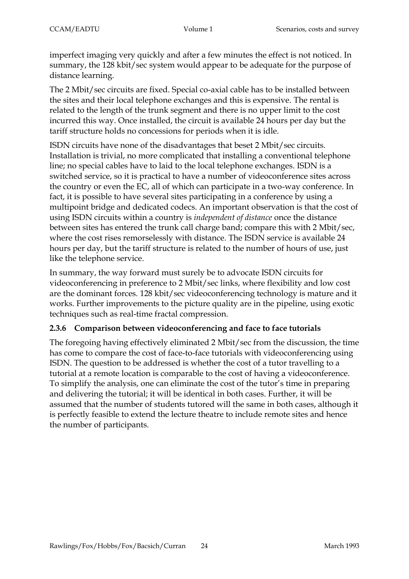imperfect imaging very quickly and after a few minutes the effect is not noticed. In summary, the 128 kbit/sec system would appear to be adequate for the purpose of distance learning.

The 2 Mbit/sec circuits are fixed. Special co-axial cable has to be installed between the sites and their local telephone exchanges and this is expensive. The rental is related to the length of the trunk segment and there is no upper limit to the cost incurred this way. Once installed, the circuit is available 24 hours per day but the tariff structure holds no concessions for periods when it is idle.

ISDN circuits have none of the disadvantages that beset 2 Mbit/sec circuits. Installation is trivial, no more complicated that installing a conventional telephone line; no special cables have to laid to the local telephone exchanges. ISDN is a switched service, so it is practical to have a number of videoconference sites across the country or even the EC, all of which can participate in a two-way conference. In fact, it is possible to have several sites participating in a conference by using a multipoint bridge and dedicated codecs. An important observation is that the cost of using ISDN circuits within a country is *independent of distance* once the distance between sites has entered the trunk call charge band; compare this with 2 Mbit/sec, where the cost rises remorselessly with distance. The ISDN service is available 24 hours per day, but the tariff structure is related to the number of hours of use, just like the telephone service.

In summary, the way forward must surely be to advocate ISDN circuits for videoconferencing in preference to 2 Mbit/sec links, where flexibility and low cost are the dominant forces. 128 kbit/sec videoconferencing technology is mature and it works. Further improvements to the picture quality are in the pipeline, using exotic techniques such as real-time fractal compression.

# **2.3.6 Comparison between videoconferencing and face to face tutorials**

The foregoing having effectively eliminated 2 Mbit/sec from the discussion, the time has come to compare the cost of face-to-face tutorials with videoconferencing using ISDN. The question to be addressed is whether the cost of a tutor travelling to a tutorial at a remote location is comparable to the cost of having a videoconference. To simplify the analysis, one can eliminate the cost of the tutor's time in preparing and delivering the tutorial; it will be identical in both cases. Further, it will be assumed that the number of students tutored will the same in both cases, although it is perfectly feasible to extend the lecture theatre to include remote sites and hence the number of participants.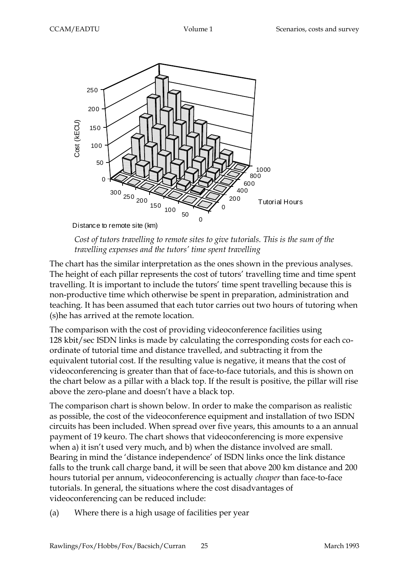

*Cost of tutors travelling to remote sites to give tutorials. This is the sum of the travelling expenses and the tutors' time spent travelling*

The chart has the similar interpretation as the ones shown in the previous analyses. The height of each pillar represents the cost of tutors' travelling time and time spent travelling. It is important to include the tutors' time spent travelling because this is non-productive time which otherwise be spent in preparation, administration and teaching. It has been assumed that each tutor carries out two hours of tutoring when (s)he has arrived at the remote location.

The comparison with the cost of providing videoconference facilities using 128 kbit/sec ISDN links is made by calculating the corresponding costs for each coordinate of tutorial time and distance travelled, and subtracting it from the equivalent tutorial cost. If the resulting value is negative, it means that the cost of videoconferencing is greater than that of face-to-face tutorials, and this is shown on the chart below as a pillar with a black top. If the result is positive, the pillar will rise above the zero-plane and doesn't have a black top.

The comparison chart is shown below. In order to make the comparison as realistic as possible, the cost of the videoconference equipment and installation of two ISDN circuits has been included. When spread over five years, this amounts to a an annual payment of 19 keuro. The chart shows that videoconferencing is more expensive when a) it isn't used very much, and b) when the distance involved are small. Bearing in mind the 'distance independence' of ISDN links once the link distance falls to the trunk call charge band, it will be seen that above 200 km distance and 200 hours tutorial per annum, videoconferencing is actually *cheaper* than face-to-face tutorials. In general, the situations where the cost disadvantages of videoconferencing can be reduced include:

(a) Where there is a high usage of facilities per year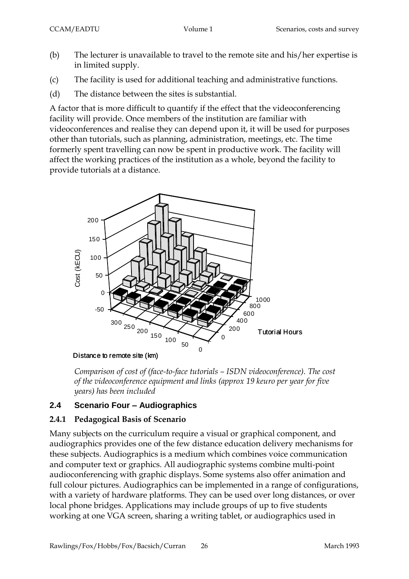- (b) The lecturer is unavailable to travel to the remote site and his/her expertise is in limited supply.
- (c) The facility is used for additional teaching and administrative functions.
- (d) The distance between the sites is substantial.

A factor that is more difficult to quantify if the effect that the videoconferencing facility will provide. Once members of the institution are familiar with videoconferences and realise they can depend upon it, it will be used for purposes other than tutorials, such as planning, administration, meetings, etc. The time formerly spent travelling can now be spent in productive work. The facility will affect the working practices of the institution as a whole, beyond the facility to provide tutorials at a distance.



*Comparison of cost of (face-to-face tutorials – ISDN videoconference). The cost of the videoconference equipment and links (approx 19 keuro per year for five years) has been included*

# **2.4 Scenario Four – Audiographics**

# **2.4.1 Pedagogical Basis of Scenario**

Many subjects on the curriculum require a visual or graphical component, and audiographics provides one of the few distance education delivery mechanisms for these subjects. Audiographics is a medium which combines voice communication and computer text or graphics. All audiographic systems combine multi-point audioconferencing with graphic displays. Some systems also offer animation and full colour pictures. Audiographics can be implemented in a range of configurations, with a variety of hardware platforms. They can be used over long distances, or over local phone bridges. Applications may include groups of up to five students working at one VGA screen, sharing a writing tablet, or audiographics used in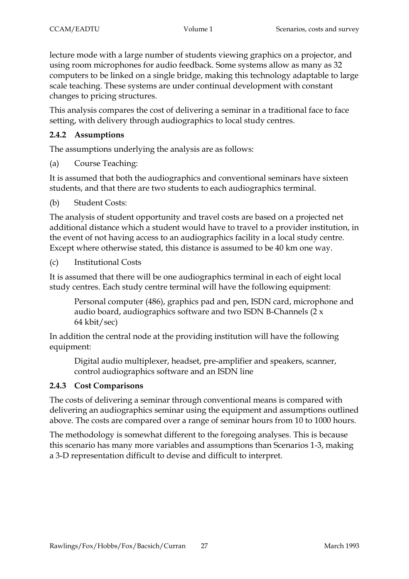lecture mode with a large number of students viewing graphics on a projector, and using room microphones for audio feedback. Some systems allow as many as 32 computers to be linked on a single bridge, making this technology adaptable to large scale teaching. These systems are under continual development with constant changes to pricing structures.

This analysis compares the cost of delivering a seminar in a traditional face to face setting, with delivery through audiographics to local study centres.

# **2.4.2 Assumptions**

The assumptions underlying the analysis are as follows:

(a) Course Teaching:

It is assumed that both the audiographics and conventional seminars have sixteen students, and that there are two students to each audiographics terminal.

(b) Student Costs:

The analysis of student opportunity and travel costs are based on a projected net additional distance which a student would have to travel to a provider institution, in the event of not having access to an audiographics facility in a local study centre. Except where otherwise stated, this distance is assumed to be 40 km one way.

(c) Institutional Costs

It is assumed that there will be one audiographics terminal in each of eight local study centres. Each study centre terminal will have the following equipment:

Personal computer (486), graphics pad and pen, ISDN card, microphone and audio board, audiographics software and two ISDN B-Channels (2 x 64 kbit/sec)

In addition the central node at the providing institution will have the following equipment:

Digital audio multiplexer, headset, pre-amplifier and speakers, scanner, control audiographics software and an ISDN line

# **2.4.3 Cost Comparisons**

The costs of delivering a seminar through conventional means is compared with delivering an audiographics seminar using the equipment and assumptions outlined above. The costs are compared over a range of seminar hours from 10 to 1000 hours.

The methodology is somewhat different to the foregoing analyses. This is because this scenario has many more variables and assumptions than Scenarios 1-3, making a 3-D representation difficult to devise and difficult to interpret.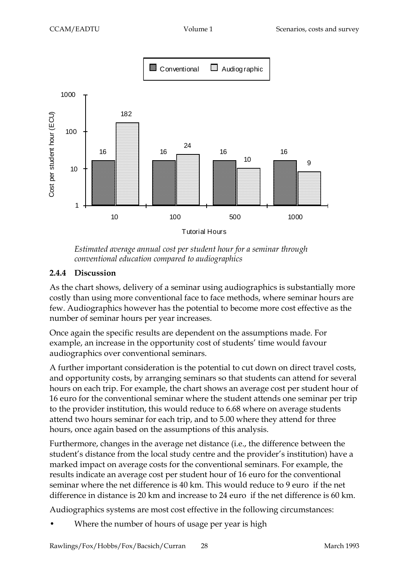

*Estimated average annual cost per student hour for a seminar through conventional education compared to audiographics*

#### **2.4.4 Discussion**

As the chart shows, delivery of a seminar using audiographics is substantially more costly than using more conventional face to face methods, where seminar hours are few. Audiographics however has the potential to become more cost effective as the number of seminar hours per year increases.

Once again the specific results are dependent on the assumptions made. For example, an increase in the opportunity cost of students' time would favour audiographics over conventional seminars.

A further important consideration is the potential to cut down on direct travel costs, and opportunity costs, by arranging seminars so that students can attend for several hours on each trip. For example, the chart shows an average cost per student hour of 16 euro for the conventional seminar where the student attends one seminar per trip to the provider institution, this would reduce to 6.68 where on average students attend two hours seminar for each trip, and to 5.00 where they attend for three hours, once again based on the assumptions of this analysis.

Furthermore, changes in the average net distance (i.e., the difference between the student's distance from the local study centre and the provider's institution) have a marked impact on average costs for the conventional seminars. For example, the results indicate an average cost per student hour of 16 euro for the conventional seminar where the net difference is 40 km. This would reduce to 9 euro if the net difference in distance is 20 km and increase to 24 euro if the net difference is 60 km.

Audiographics systems are most cost effective in the following circumstances:

Where the number of hours of usage per year is high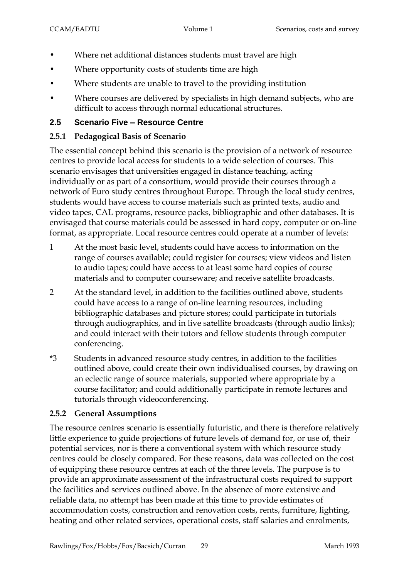- Where net additional distances students must travel are high
- Where opportunity costs of students time are high
- Where students are unable to travel to the providing institution
- Where courses are delivered by specialists in high demand subjects, who are difficult to access through normal educational structures.

# **2.5 Scenario Five – Resource Centre**

# **2.5.1 Pedagogical Basis of Scenario**

The essential concept behind this scenario is the provision of a network of resource centres to provide local access for students to a wide selection of courses. This scenario envisages that universities engaged in distance teaching, acting individually or as part of a consortium, would provide their courses through a network of Euro study centres throughout Europe. Through the local study centres, students would have access to course materials such as printed texts, audio and video tapes, CAL programs, resource packs, bibliographic and other databases. It is envisaged that course materials could be assessed in hard copy, computer or on-line format, as appropriate. Local resource centres could operate at a number of levels:

- 1 At the most basic level, students could have access to information on the range of courses available; could register for courses; view videos and listen to audio tapes; could have access to at least some hard copies of course materials and to computer courseware; and receive satellite broadcasts.
- 2 At the standard level, in addition to the facilities outlined above, students could have access to a range of on-line learning resources, including bibliographic databases and picture stores; could participate in tutorials through audiographics, and in live satellite broadcasts (through audio links); and could interact with their tutors and fellow students through computer conferencing.
- \*3 Students in advanced resource study centres, in addition to the facilities outlined above, could create their own individualised courses, by drawing on an eclectic range of source materials, supported where appropriate by a course facilitator; and could additionally participate in remote lectures and tutorials through videoconferencing.

# **2.5.2 General Assumptions**

The resource centres scenario is essentially futuristic, and there is therefore relatively little experience to guide projections of future levels of demand for, or use of, their potential services, nor is there a conventional system with which resource study centres could be closely compared. For these reasons, data was collected on the cost of equipping these resource centres at each of the three levels. The purpose is to provide an approximate assessment of the infrastructural costs required to support the facilities and services outlined above. In the absence of more extensive and reliable data, no attempt has been made at this time to provide estimates of accommodation costs, construction and renovation costs, rents, furniture, lighting, heating and other related services, operational costs, staff salaries and enrolments,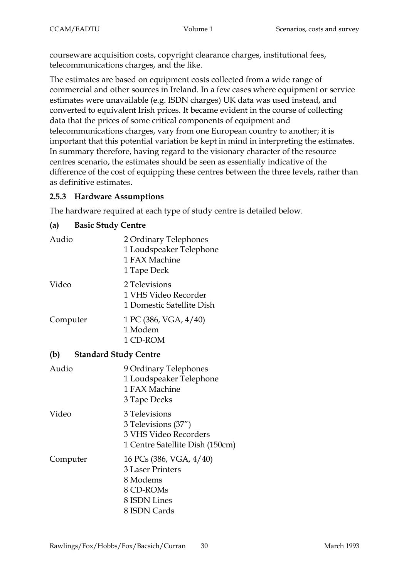courseware acquisition costs, copyright clearance charges, institutional fees, telecommunications charges, and the like.

The estimates are based on equipment costs collected from a wide range of commercial and other sources in Ireland. In a few cases where equipment or service estimates were unavailable (e.g. ISDN charges) UK data was used instead, and converted to equivalent Irish prices. It became evident in the course of collecting data that the prices of some critical components of equipment and telecommunications charges, vary from one European country to another; it is important that this potential variation be kept in mind in interpreting the estimates. In summary therefore, having regard to the visionary character of the resource centres scenario, the estimates should be seen as essentially indicative of the difference of the cost of equipping these centres between the three levels, rather than as definitive estimates.

# **2.5.3 Hardware Assumptions**

The hardware required at each type of study centre is detailed below.

# **(a) Basic Study Centre**

| Audio                               | 2 Ordinary Telephones<br>1 Loudspeaker Telephone<br>1 FAX Machine<br>1 Tape Deck                            |
|-------------------------------------|-------------------------------------------------------------------------------------------------------------|
| Video                               | 2 Televisions<br>1 VHS Video Recorder<br>1 Domestic Satellite Dish                                          |
| Computer                            | 1 PC (386, VGA, 4/40)<br>1 Modem<br>1 CD-ROM                                                                |
| (b)<br><b>Standard Study Centre</b> |                                                                                                             |
| Audio                               | 9 Ordinary Telephones<br>1 Loudspeaker Telephone<br>1 FAX Machine<br>3 Tape Decks                           |
| Video                               | 3 Televisions<br>3 Televisions (37")<br>3 VHS Video Recorders<br>1 Centre Satellite Dish (150cm)            |
| Computer                            | 16 PCs (386, VGA, 4/40)<br><b>3 Laser Printers</b><br>8 Modems<br>8 CD-ROMs<br>8 ISDN Lines<br>8 ISDN Cards |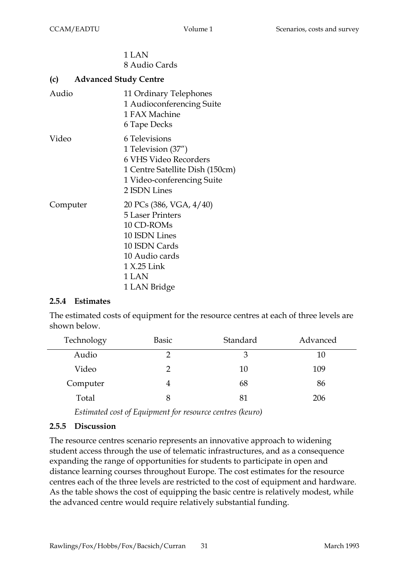### 1 LAN 8 Audio Cards

#### **(c) Advanced Study Centre**

| Audio    | 11 Ordinary Telephones<br>1 Audioconferencing Suite<br>1 FAX Machine<br>6 Tape Decks                                                                         |
|----------|--------------------------------------------------------------------------------------------------------------------------------------------------------------|
| Video    | 6 Televisions<br>1 Television (37")<br>6 VHS Video Recorders<br>1 Centre Satellite Dish (150cm)<br>1 Video-conferencing Suite<br>2 ISDN Lines                |
| Computer | 20 PCs (386, VGA, 4/40)<br><b>5 Laser Printers</b><br>10 CD-ROMs<br>10 ISDN Lines<br>10 ISDN Cards<br>10 Audio cards<br>1 X.25 Link<br>1 LAN<br>1 LAN Bridge |

#### **2.5.4 Estimates**

The estimated costs of equipment for the resource centres at each of three levels are shown below.

| Technology | <b>Basic</b> | Standard | Advanced |
|------------|--------------|----------|----------|
| Audio      | 7            | 3        | 10       |
| Video      | 2            | 10       | 109      |
| Computer   |              | 68       | 86       |
| Total      | 8            | 81       | 206      |

*Estimated cost of Equipment for resource centres (keuro)*

# **2.5.5 Discussion**

The resource centres scenario represents an innovative approach to widening student access through the use of telematic infrastructures, and as a consequence expanding the range of opportunities for students to participate in open and distance learning courses throughout Europe. The cost estimates for the resource centres each of the three levels are restricted to the cost of equipment and hardware. As the table shows the cost of equipping the basic centre is relatively modest, while the advanced centre would require relatively substantial funding.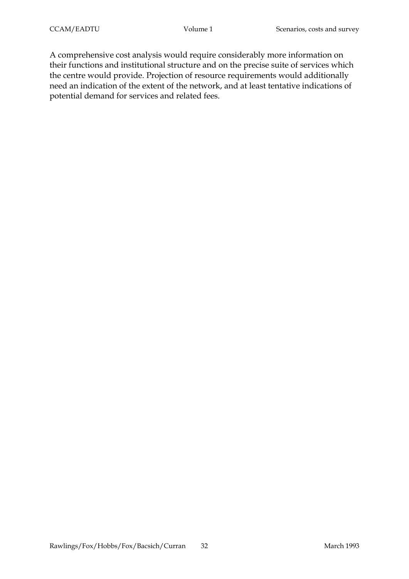A comprehensive cost analysis would require considerably more information on their functions and institutional structure and on the precise suite of services which the centre would provide. Projection of resource requirements would additionally need an indication of the extent of the network, and at least tentative indications of potential demand for services and related fees.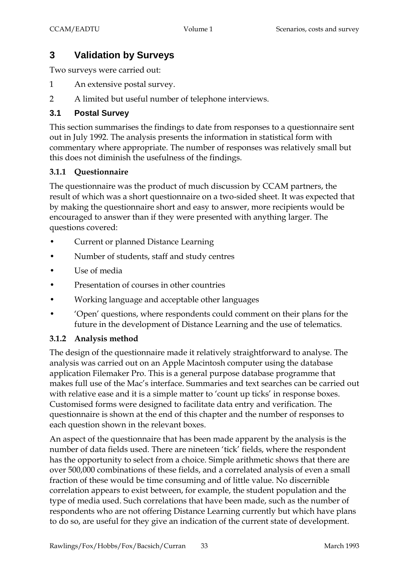# **3 Validation by Surveys**

Two surveys were carried out:

- 1 An extensive postal survey.
- 2 A limited but useful number of telephone interviews.

# **3.1 Postal Survey**

This section summarises the findings to date from responses to a questionnaire sent out in July 1992. The analysis presents the information in statistical form with commentary where appropriate. The number of responses was relatively small but this does not diminish the usefulness of the findings.

# **3.1.1 Questionnaire**

The questionnaire was the product of much discussion by CCAM partners, the result of which was a short questionnaire on a two-sided sheet. It was expected that by making the questionnaire short and easy to answer, more recipients would be encouraged to answer than if they were presented with anything larger. The questions covered:

- Current or planned Distance Learning
- Number of students, staff and study centres
- Use of media
- Presentation of courses in other countries
- Working language and acceptable other languages
- 'Open' questions, where respondents could comment on their plans for the future in the development of Distance Learning and the use of telematics.

# **3.1.2 Analysis method**

The design of the questionnaire made it relatively straightforward to analyse. The analysis was carried out on an Apple Macintosh computer using the database application Filemaker Pro. This is a general purpose database programme that makes full use of the Mac's interface. Summaries and text searches can be carried out with relative ease and it is a simple matter to 'count up ticks' in response boxes. Customised forms were designed to facilitate data entry and verification. The questionnaire is shown at the end of this chapter and the number of responses to each question shown in the relevant boxes.

An aspect of the questionnaire that has been made apparent by the analysis is the number of data fields used. There are nineteen 'tick' fields, where the respondent has the opportunity to select from a choice. Simple arithmetic shows that there are over 500,000 combinations of these fields, and a correlated analysis of even a small fraction of these would be time consuming and of little value. No discernible correlation appears to exist between, for example, the student population and the type of media used. Such correlations that have been made, such as the number of respondents who are not offering Distance Learning currently but which have plans to do so, are useful for they give an indication of the current state of development.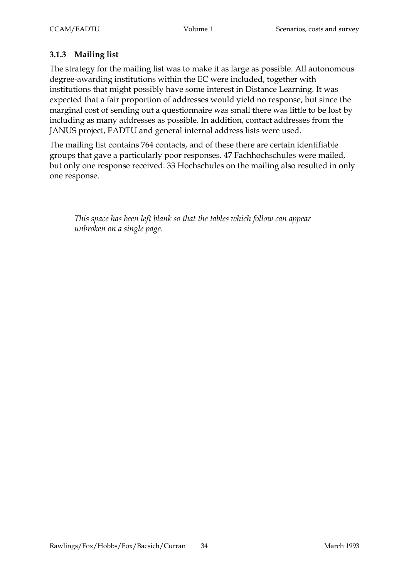# **3.1.3 Mailing list**

The strategy for the mailing list was to make it as large as possible. All autonomous degree-awarding institutions within the EC were included, together with institutions that might possibly have some interest in Distance Learning. It was expected that a fair proportion of addresses would yield no response, but since the marginal cost of sending out a questionnaire was small there was little to be lost by including as many addresses as possible. In addition, contact addresses from the JANUS project, EADTU and general internal address lists were used.

The mailing list contains 764 contacts, and of these there are certain identifiable groups that gave a particularly poor responses. 47 Fachhochschules were mailed, but only one response received. 33 Hochschules on the mailing also resulted in only one response.

*This space has been left blank so that the tables which follow can appear unbroken on a single page.*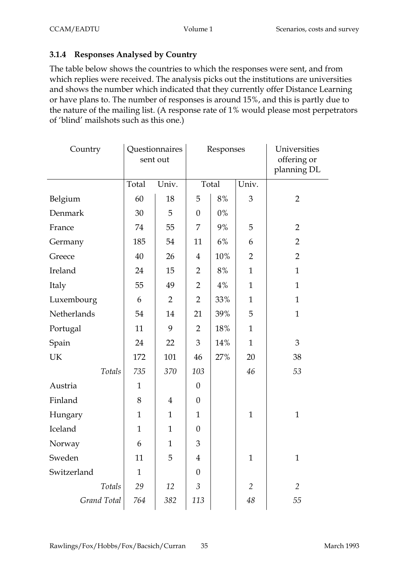# **3.1.4 Responses Analysed by Country**

The table below shows the countries to which the responses were sent, and from which replies were received. The analysis picks out the institutions are universities and shows the number which indicated that they currently offer Distance Learning or have plans to. The number of responses is around 15%, and this is partly due to the nature of the mailing list. (A response rate of 1% would please most perpetrators of 'blind' mailshots such as this one.)

| Country     |              | Questionnaires<br>sent out | Responses        |       |                | Universities<br>offering or<br>planning DL |  |
|-------------|--------------|----------------------------|------------------|-------|----------------|--------------------------------------------|--|
|             | Total        | Univ.                      |                  | Total | Univ.          |                                            |  |
| Belgium     | 60           | 18                         | 5                | 8%    | 3              | $\overline{2}$                             |  |
| Denmark     | 30           | 5                          | $\boldsymbol{0}$ | $0\%$ |                |                                            |  |
| France      | 74           | 55                         | 7                | 9%    | 5              | $\overline{2}$                             |  |
| Germany     | 185          | 54                         | 11               | 6%    | 6              | $\overline{2}$                             |  |
| Greece      | 40           | 26                         | $\overline{4}$   | 10%   | $\overline{2}$ | $\overline{2}$                             |  |
| Ireland     | 24           | 15                         | $\overline{2}$   | 8%    | $\mathbf{1}$   | $\mathbf{1}$                               |  |
| Italy       | 55           | 49                         | $\overline{2}$   | 4%    | $\mathbf{1}$   | $\mathbf{1}$                               |  |
| Luxembourg  | 6            | $\overline{2}$             | $\overline{2}$   | 33%   | $\mathbf{1}$   | $\mathbf{1}$                               |  |
| Netherlands | 54           | 14                         | 21               | 39%   | 5              | $\mathbf{1}$                               |  |
| Portugal    | 11           | 9                          | $\overline{2}$   | 18%   | $\mathbf{1}$   |                                            |  |
| Spain       | 24           | 22                         | 3                | 14%   | $\mathbf{1}$   | 3                                          |  |
| UK          | 172          | 101                        | 46               | 27%   | 20             | 38                                         |  |
| Totals      | 735          | 370                        | 103              |       | 46             | 53                                         |  |
| Austria     | $\mathbf{1}$ |                            | $\theta$         |       |                |                                            |  |
| Finland     | 8            | $\overline{4}$             | $\boldsymbol{0}$ |       |                |                                            |  |
| Hungary     | $\mathbf{1}$ | $\mathbf{1}$               | $\mathbf{1}$     |       | $\mathbf{1}$   | $\mathbf{1}$                               |  |
| Iceland     | $\mathbf{1}$ | $\mathbf{1}$               | $\theta$         |       |                |                                            |  |
| Norway      | 6            | $\mathbf{1}$               | 3                |       |                |                                            |  |
| Sweden      | 11           | 5                          | 4                |       | $\mathbf{1}$   | $\mathbf{1}$                               |  |
| Switzerland | $\mathbf{1}$ |                            | $\boldsymbol{0}$ |       |                |                                            |  |
| Totals      | 29           | 12                         | 3                |       | 2              | $\overline{2}$                             |  |
| Grand Total | 764          | 382                        | 113              |       | 48             | 55                                         |  |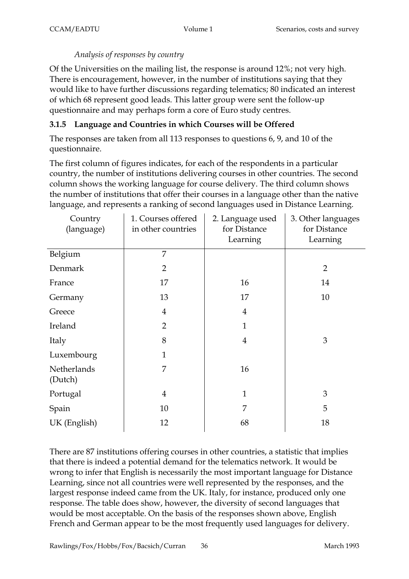### *Analysis of responses by country*

Of the Universities on the mailing list, the response is around 12%; not very high. There is encouragement, however, in the number of institutions saying that they would like to have further discussions regarding telematics; 80 indicated an interest of which 68 represent good leads. This latter group were sent the follow-up questionnaire and may perhaps form a core of Euro study centres.

# **3.1.5 Language and Countries in which Courses will be Offered**

The responses are taken from all 113 responses to questions 6, 9, and 10 of the questionnaire.

The first column of figures indicates, for each of the respondents in a particular country, the number of institutions delivering courses in other countries. The second column shows the working language for course delivery. The third column shows the number of institutions that offer their courses in a language other than the native language, and represents a ranking of second languages used in Distance Learning.

| Country<br>(language)  | 1. Courses offered<br>in other countries | 2. Language used<br>for Distance<br>Learning | 3. Other languages<br>for Distance<br>Learning |
|------------------------|------------------------------------------|----------------------------------------------|------------------------------------------------|
| Belgium                | 7                                        |                                              |                                                |
| Denmark                | $\overline{2}$                           |                                              | $\overline{2}$                                 |
| France                 | 17                                       | 16                                           | 14                                             |
| Germany                | 13                                       | 17                                           | 10                                             |
| Greece                 | $\overline{4}$                           | $\overline{4}$                               |                                                |
| Ireland                | $\overline{2}$                           | $\mathbf{1}$                                 |                                                |
| Italy                  | 8                                        | $\overline{4}$                               | 3                                              |
| Luxembourg             | $\mathbf{1}$                             |                                              |                                                |
| Netherlands<br>(Dutch) | 7                                        | 16                                           |                                                |
| Portugal               | $\overline{4}$                           | $\mathbf{1}$                                 | 3                                              |
| Spain                  | 10                                       | 7                                            | 5                                              |
| UK (English)           | 12                                       | 68                                           | 18                                             |

There are 87 institutions offering courses in other countries, a statistic that implies that there is indeed a potential demand for the telematics network. It would be wrong to infer that English is necessarily the most important language for Distance Learning, since not all countries were well represented by the responses, and the largest response indeed came from the UK. Italy, for instance, produced only one response. The table does show, however, the diversity of second languages that would be most acceptable. On the basis of the responses shown above, English French and German appear to be the most frequently used languages for delivery.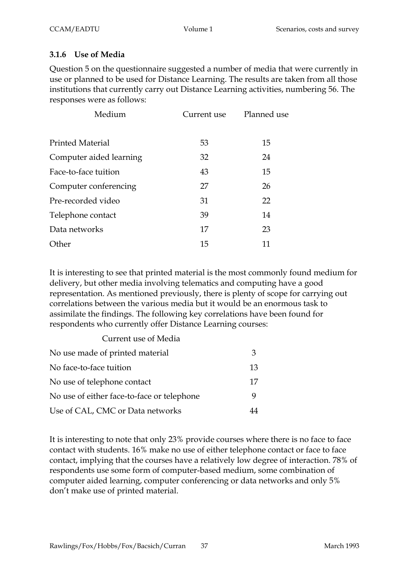### **3.1.6 Use of Media**

Question 5 on the questionnaire suggested a number of media that were currently in use or planned to be used for Distance Learning. The results are taken from all those institutions that currently carry out Distance Learning activities, numbering 56. The responses were as follows:

| Medium                  | Current use | Planned use |
|-------------------------|-------------|-------------|
| <b>Printed Material</b> | 53          | 15          |
| Computer aided learning | 32          | 24          |
| Face-to-face tuition    | 43          | 15          |
| Computer conferencing   | 27          | 26          |
| Pre-recorded video      | 31          | 22          |
| Telephone contact       | 39          | 14          |
| Data networks           | 17          | 23          |
| Other                   | 15          | 11          |

It is interesting to see that printed material is the most commonly found medium for delivery, but other media involving telematics and computing have a good representation. As mentioned previously, there is plenty of scope for carrying out correlations between the various media but it would be an enormous task to assimilate the findings. The following key correlations have been found for respondents who currently offer Distance Learning courses:

#### Current use of Media

| No use made of printed material            | З  |
|--------------------------------------------|----|
| No face-to-face tuition                    | 13 |
| No use of telephone contact                | 17 |
| No use of either face-to-face or telephone |    |
| Use of CAL, CMC or Data networks           |    |

It is interesting to note that only 23% provide courses where there is no face to face contact with students. 16% make no use of either telephone contact or face to face contact, implying that the courses have a relatively low degree of interaction. 78% of respondents use some form of computer-based medium, some combination of computer aided learning, computer conferencing or data networks and only 5% don't make use of printed material.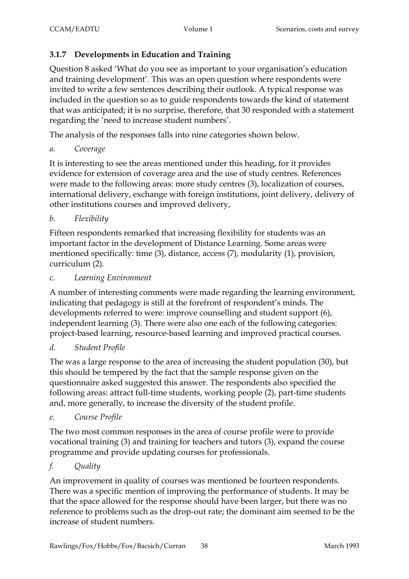# **3.1.7 Developments in Education and Training**

Question 8 asked 'What do you see as important to your organisation's education and training development'. This was an open question where respondents were invited to write a few sentences describing their outlook. A typical response was included in the question so as to guide respondents towards the kind of statement that was anticipated; it is no surprise, therefore, that 30 responded with a statement regarding the 'need to increase student numbers'.

The analysis of the responses falls into nine categories shown below.

*a. Coverage*

It is interesting to see the areas mentioned under this heading, for it provides evidence for extension of coverage area and the use of study centres. References were made to the following areas: more study centres (3), localization of courses, international delivery, exchange with foreign institutions, joint delivery, delivery of other institutions courses and improved delivery,

*b. Flexibility*

Fifteen respondents remarked that increasing flexibility for students was an important factor in the development of Distance Learning. Some areas were mentioned specifically: time (3), distance, access (7), modularity (1), provision, curriculum (2).

*c. Learning Environment*

A number of interesting comments were made regarding the learning environment, indicating that pedagogy is still at the forefront of respondent's minds. The developments referred to were: improve counselling and student support (6), independent learning (3). There were also one each of the following categories: project-based learning, resource-based learning and improved practical courses.

# *d. Student Profile*

The was a large response to the area of increasing the student population (30), but this should be tempered by the fact that the sample response given on the questionnaire asked suggested this answer. The respondents also specified the following areas: attract full-time students, working people (2), part-time students and, more generally, to increase the diversity of the student profile.

# *e. Course Profile*

The two most common responses in the area of course profile were to provide vocational training (3) and training for teachers and tutors (3), expand the course programme and provide updating courses for professionals.

# *f. Quality*

An improvement in quality of courses was mentioned be fourteen respondents. There was a specific mention of improving the performance of students. It may be that the space allowed for the response should have been larger, but there was no reference to problems such as the drop-out rate; the dominant aim seemed to be the increase of student numbers.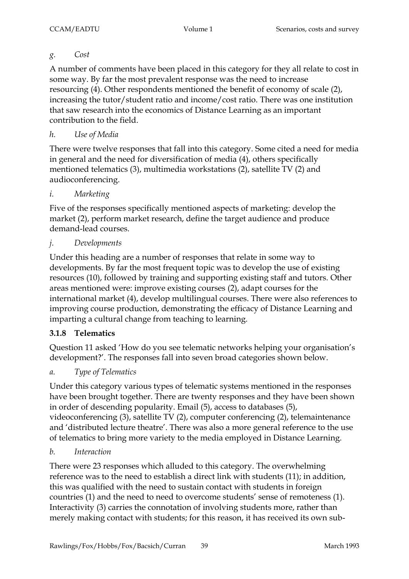# *g. Cost*

A number of comments have been placed in this category for they all relate to cost in some way. By far the most prevalent response was the need to increase resourcing (4). Other respondents mentioned the benefit of economy of scale (2), increasing the tutor/student ratio and income/cost ratio. There was one institution that saw research into the economics of Distance Learning as an important contribution to the field.

# *h. Use of Media*

There were twelve responses that fall into this category. Some cited a need for media in general and the need for diversification of media (4), others specifically mentioned telematics (3), multimedia workstations (2), satellite TV (2) and audioconferencing.

# *i. Marketing*

Five of the responses specifically mentioned aspects of marketing: develop the market (2), perform market research, define the target audience and produce demand-lead courses.

# *j. Developments*

Under this heading are a number of responses that relate in some way to developments. By far the most frequent topic was to develop the use of existing resources (10), followed by training and supporting existing staff and tutors. Other areas mentioned were: improve existing courses (2), adapt courses for the international market (4), develop multilingual courses. There were also references to improving course production, demonstrating the efficacy of Distance Learning and imparting a cultural change from teaching to learning.

# **3.1.8 Telematics**

Question 11 asked 'How do you see telematic networks helping your organisation's development?'. The responses fall into seven broad categories shown below.

# *a. Type of Telematics*

Under this category various types of telematic systems mentioned in the responses have been brought together. There are twenty responses and they have been shown in order of descending popularity. Email (5), access to databases (5), videoconferencing (3), satellite TV (2), computer conferencing (2), telemaintenance and 'distributed lecture theatre'. There was also a more general reference to the use of telematics to bring more variety to the media employed in Distance Learning.

# *b. Interaction*

There were 23 responses which alluded to this category. The overwhelming reference was to the need to establish a direct link with students (11); in addition, this was qualified with the need to sustain contact with students in foreign countries (1) and the need to need to overcome students' sense of remoteness (1). Interactivity (3) carries the connotation of involving students more, rather than merely making contact with students; for this reason, it has received its own sub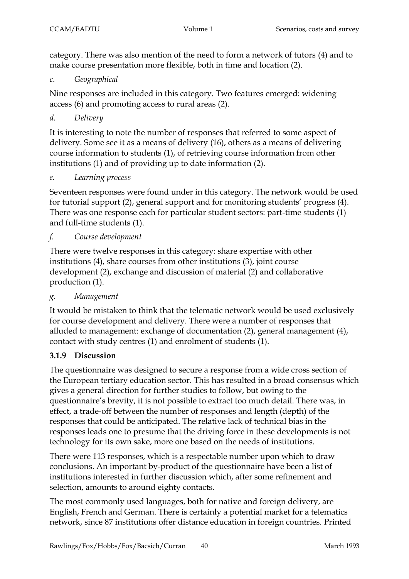category. There was also mention of the need to form a network of tutors (4) and to make course presentation more flexible, both in time and location (2).

*c. Geographical*

Nine responses are included in this category. Two features emerged: widening access (6) and promoting access to rural areas (2).

# *d. Delivery*

It is interesting to note the number of responses that referred to some aspect of delivery. Some see it as a means of delivery (16), others as a means of delivering course information to students (1), of retrieving course information from other institutions (1) and of providing up to date information (2).

#### *e. Learning process*

Seventeen responses were found under in this category. The network would be used for tutorial support (2), general support and for monitoring students' progress (4). There was one response each for particular student sectors: part-time students (1) and full-time students (1).

# *f. Course development*

There were twelve responses in this category: share expertise with other institutions (4), share courses from other institutions (3), joint course development (2), exchange and discussion of material (2) and collaborative production (1).

# *g. Management*

It would be mistaken to think that the telematic network would be used exclusively for course development and delivery. There were a number of responses that alluded to management: exchange of documentation (2), general management (4), contact with study centres (1) and enrolment of students (1).

# **3.1.9 Discussion**

The questionnaire was designed to secure a response from a wide cross section of the European tertiary education sector. This has resulted in a broad consensus which gives a general direction for further studies to follow, but owing to the questionnaire's brevity, it is not possible to extract too much detail. There was, in effect, a trade-off between the number of responses and length (depth) of the responses that could be anticipated. The relative lack of technical bias in the responses leads one to presume that the driving force in these developments is not technology for its own sake, more one based on the needs of institutions.

There were 113 responses, which is a respectable number upon which to draw conclusions. An important by-product of the questionnaire have been a list of institutions interested in further discussion which, after some refinement and selection, amounts to around eighty contacts.

The most commonly used languages, both for native and foreign delivery, are English, French and German. There is certainly a potential market for a telematics network, since 87 institutions offer distance education in foreign countries. Printed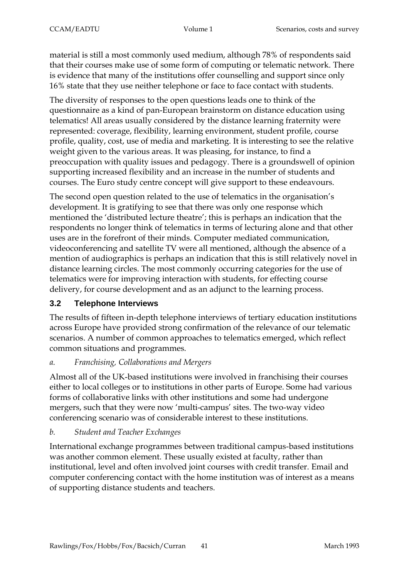material is still a most commonly used medium, although 78% of respondents said that their courses make use of some form of computing or telematic network. There is evidence that many of the institutions offer counselling and support since only 16% state that they use neither telephone or face to face contact with students.

The diversity of responses to the open questions leads one to think of the questionnaire as a kind of pan-European brainstorm on distance education using telematics! All areas usually considered by the distance learning fraternity were represented: coverage, flexibility, learning environment, student profile, course profile, quality, cost, use of media and marketing. It is interesting to see the relative weight given to the various areas. It was pleasing, for instance, to find a preoccupation with quality issues and pedagogy. There is a groundswell of opinion supporting increased flexibility and an increase in the number of students and courses. The Euro study centre concept will give support to these endeavours.

The second open question related to the use of telematics in the organisation's development. It is gratifying to see that there was only one response which mentioned the 'distributed lecture theatre'; this is perhaps an indication that the respondents no longer think of telematics in terms of lecturing alone and that other uses are in the forefront of their minds. Computer mediated communication, videoconferencing and satellite TV were all mentioned, although the absence of a mention of audiographics is perhaps an indication that this is still relatively novel in distance learning circles. The most commonly occurring categories for the use of telematics were for improving interaction with students, for effecting course delivery, for course development and as an adjunct to the learning process.

# **3.2 Telephone Interviews**

The results of fifteen in-depth telephone interviews of tertiary education institutions across Europe have provided strong confirmation of the relevance of our telematic scenarios. A number of common approaches to telematics emerged, which reflect common situations and programmes.

# *a. Franchising, Collaborations and Mergers*

Almost all of the UK-based institutions were involved in franchising their courses either to local colleges or to institutions in other parts of Europe. Some had various forms of collaborative links with other institutions and some had undergone mergers, such that they were now 'multi-campus' sites. The two-way video conferencing scenario was of considerable interest to these institutions.

# *b. Student and Teacher Exchanges*

International exchange programmes between traditional campus-based institutions was another common element. These usually existed at faculty, rather than institutional, level and often involved joint courses with credit transfer. Email and computer conferencing contact with the home institution was of interest as a means of supporting distance students and teachers.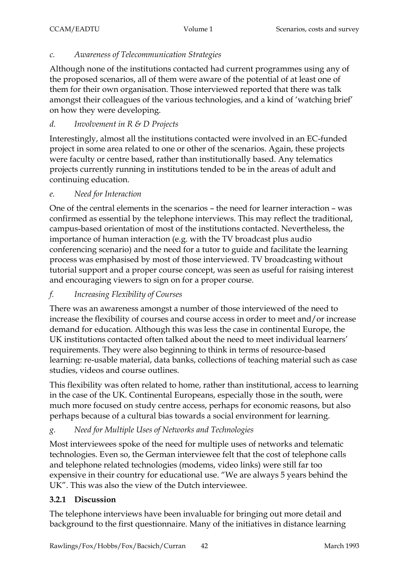### *c. Awareness of Telecommunication Strategies*

Although none of the institutions contacted had current programmes using any of the proposed scenarios, all of them were aware of the potential of at least one of them for their own organisation. Those interviewed reported that there was talk amongst their colleagues of the various technologies, and a kind of 'watching brief' on how they were developing.

# *d. Involvement in R & D Projects*

Interestingly, almost all the institutions contacted were involved in an EC-funded project in some area related to one or other of the scenarios. Again, these projects were faculty or centre based, rather than institutionally based. Any telematics projects currently running in institutions tended to be in the areas of adult and continuing education.

#### *e. Need for Interaction*

One of the central elements in the scenarios – the need for learner interaction – was confirmed as essential by the telephone interviews. This may reflect the traditional, campus-based orientation of most of the institutions contacted. Nevertheless, the importance of human interaction (e.g. with the TV broadcast plus audio conferencing scenario) and the need for a tutor to guide and facilitate the learning process was emphasised by most of those interviewed. TV broadcasting without tutorial support and a proper course concept, was seen as useful for raising interest and encouraging viewers to sign on for a proper course.

# *f. Increasing Flexibility of Courses*

There was an awareness amongst a number of those interviewed of the need to increase the flexibility of courses and course access in order to meet and/or increase demand for education. Although this was less the case in continental Europe, the UK institutions contacted often talked about the need to meet individual learners' requirements. They were also beginning to think in terms of resource-based learning: re-usable material, data banks, collections of teaching material such as case studies, videos and course outlines.

This flexibility was often related to home, rather than institutional, access to learning in the case of the UK. Continental Europeans, especially those in the south, were much more focused on study centre access, perhaps for economic reasons, but also perhaps because of a cultural bias towards a social environment for learning.

# *g. Need for Multiple Uses of Networks and Technologies*

Most interviewees spoke of the need for multiple uses of networks and telematic technologies. Even so, the German interviewee felt that the cost of telephone calls and telephone related technologies (modems, video links) were still far too expensive in their country for educational use. "We are always 5 years behind the UK". This was also the view of the Dutch interviewee.

# **3.2.1 Discussion**

The telephone interviews have been invaluable for bringing out more detail and background to the first questionnaire. Many of the initiatives in distance learning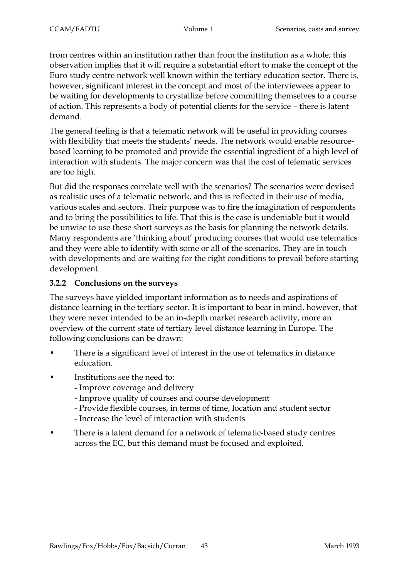from centres within an institution rather than from the institution as a whole; this observation implies that it will require a substantial effort to make the concept of the Euro study centre network well known within the tertiary education sector. There is, however, significant interest in the concept and most of the interviewees appear to be waiting for developments to crystallize before committing themselves to a course of action. This represents a body of potential clients for the service – there is latent demand.

The general feeling is that a telematic network will be useful in providing courses with flexibility that meets the students' needs. The network would enable resourcebased learning to be promoted and provide the essential ingredient of a high level of interaction with students. The major concern was that the cost of telematic services are too high.

But did the responses correlate well with the scenarios? The scenarios were devised as realistic uses of a telematic network, and this is reflected in their use of media, various scales and sectors. Their purpose was to fire the imagination of respondents and to bring the possibilities to life. That this is the case is undeniable but it would be unwise to use these short surveys as the basis for planning the network details. Many respondents are 'thinking about' producing courses that would use telematics and they were able to identify with some or all of the scenarios. They are in touch with developments and are waiting for the right conditions to prevail before starting development.

# **3.2.2 Conclusions on the surveys**

The surveys have yielded important information as to needs and aspirations of distance learning in the tertiary sector. It is important to bear in mind, however, that they were never intended to be an in-depth market research activity, more an overview of the current state of tertiary level distance learning in Europe. The following conclusions can be drawn:

- There is a significant level of interest in the use of telematics in distance education.
- Institutions see the need to:
	- Improve coverage and delivery
	- Improve quality of courses and course development
	- Provide flexible courses, in terms of time, location and student sector
	- Increase the level of interaction with students
- There is a latent demand for a network of telematic-based study centres across the EC, but this demand must be focused and exploited.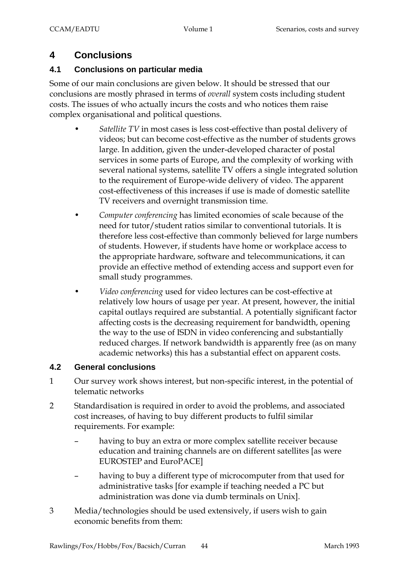# **4 Conclusions**

# **4.1 Conclusions on particular media**

Some of our main conclusions are given below. It should be stressed that our conclusions are mostly phrased in terms of *overall* system costs including student costs. The issues of who actually incurs the costs and who notices them raise complex organisational and political questions.

- *Satellite TV* in most cases is less cost-effective than postal delivery of videos; but can become cost-effective as the number of students grows large. In addition, given the under-developed character of postal services in some parts of Europe, and the complexity of working with several national systems, satellite TV offers a single integrated solution to the requirement of Europe-wide delivery of video. The apparent cost-effectiveness of this increases if use is made of domestic satellite TV receivers and overnight transmission time.
- *Computer conferencing* has limited economies of scale because of the need for tutor/student ratios similar to conventional tutorials. It is therefore less cost-effective than commonly believed for large numbers of students. However, if students have home or workplace access to the appropriate hardware, software and telecommunications, it can provide an effective method of extending access and support even for small study programmes.
- *Video conferencing* used for video lectures can be cost-effective at relatively low hours of usage per year. At present, however, the initial capital outlays required are substantial. A potentially significant factor affecting costs is the decreasing requirement for bandwidth, opening the way to the use of ISDN in video conferencing and substantially reduced charges. If network bandwidth is apparently free (as on many academic networks) this has a substantial effect on apparent costs.

#### **4.2 General conclusions**

- 1 Our survey work shows interest, but non-specific interest, in the potential of telematic networks
- 2 Standardisation is required in order to avoid the problems, and associated cost increases, of having to buy different products to fulfil similar requirements. For example:
	- having to buy an extra or more complex satellite receiver because education and training channels are on different satellites [as were EUROSTEP and EuroPACE]
	- having to buy a different type of microcomputer from that used for administrative tasks [for example if teaching needed a PC but administration was done via dumb terminals on Unix].
- 3 Media/technologies should be used extensively, if users wish to gain economic benefits from them: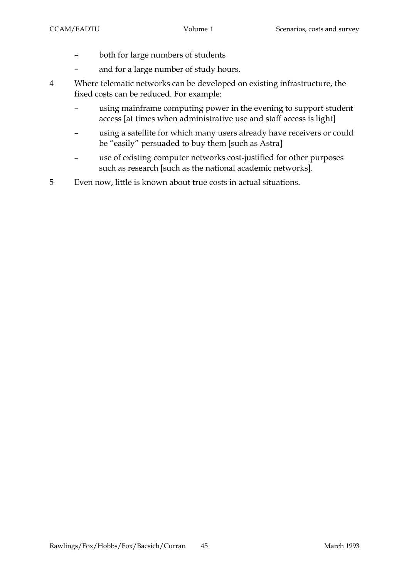- both for large numbers of students
- and for a large number of study hours.
- 4 Where telematic networks can be developed on existing infrastructure, the fixed costs can be reduced. For example:
	- using mainframe computing power in the evening to support student access [at times when administrative use and staff access is light]
	- using a satellite for which many users already have receivers or could be "easily" persuaded to buy them [such as Astra]
	- use of existing computer networks cost-justified for other purposes such as research [such as the national academic networks].
- 5 Even now, little is known about true costs in actual situations.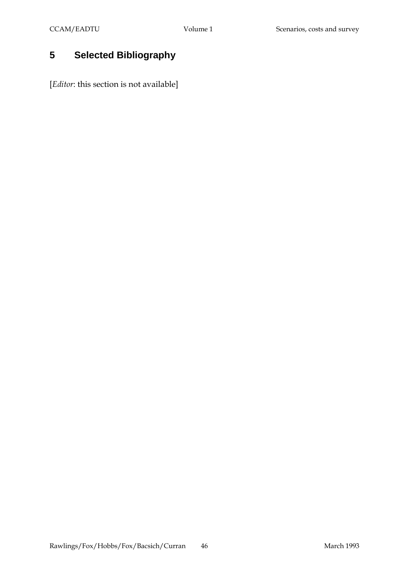# **5 Selected Bibliography**

[*Editor*: this section is not available]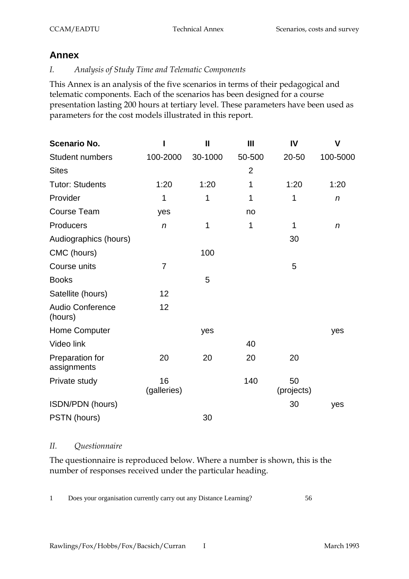# **Annex**

#### *I. Analysis of Study Time and Telematic Components*

This Annex is an analysis of the five scenarios in terms of their pedagogical and telematic components. Each of the scenarios has been designed for a course presentation lasting 200 hours at tertiary level. These parameters have been used as parameters for the cost models illustrated in this report.

| <b>Scenario No.</b>                |                   | $\mathbf{I}$ | $\mathbf{III}$ | IV               | $\mathsf{V}$     |
|------------------------------------|-------------------|--------------|----------------|------------------|------------------|
| <b>Student numbers</b>             | 100-2000          | 30-1000      | 50-500         | 20-50            | 100-5000         |
| <b>Sites</b>                       |                   |              | $\overline{2}$ |                  |                  |
| <b>Tutor: Students</b>             | 1:20              | 1:20         | 1              | 1:20             | 1:20             |
| Provider                           | 1                 | 1            | 1              | 1                | $\boldsymbol{n}$ |
| <b>Course Team</b>                 | yes               |              | no             |                  |                  |
| Producers                          | $\boldsymbol{n}$  | 1            | 1              | 1                | $\boldsymbol{n}$ |
| Audiographics (hours)              |                   |              |                | 30               |                  |
| CMC (hours)                        |                   | 100          |                |                  |                  |
| Course units                       | $\overline{7}$    |              |                | 5                |                  |
| <b>Books</b>                       |                   | 5            |                |                  |                  |
| Satellite (hours)                  | 12                |              |                |                  |                  |
| <b>Audio Conference</b><br>(hours) | 12                |              |                |                  |                  |
| Home Computer                      |                   | yes          |                |                  | yes              |
| Video link                         |                   |              | 40             |                  |                  |
| Preparation for<br>assignments     | 20                | 20           | 20             | 20               |                  |
| Private study                      | 16<br>(galleries) |              | 140            | 50<br>(projects) |                  |
| ISDN/PDN (hours)                   |                   |              |                | 30               | yes              |
| PSTN (hours)                       |                   | 30           |                |                  |                  |

#### *II. Questionnaire*

The questionnaire is reproduced below. Where a number is shown, this is the number of responses received under the particular heading.

1 Does your organisation currently carry out any Distance Learning? 56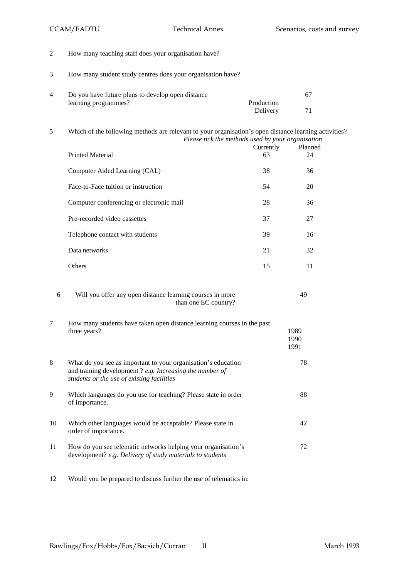49

- 2 How many teaching staff does your organisation have?
- 3 How many student study centres does your organisation have?

| Do you have future plans to develop open distance |            |  |
|---------------------------------------------------|------------|--|
| learning programmes?                              | Production |  |
|                                                   | Delivery   |  |

5 Which of the following methods are relevant to your organisation's open distance learning activities? *Please tick the methods used by your organisation*

| <b>Printed Material</b>                  | Currently<br>63 | Planned<br>24 |
|------------------------------------------|-----------------|---------------|
| Computer Aided Learning (CAL)            | 38              | 36            |
| Face-to-Face tuition or instruction      | 54              | 20            |
| Computer conferencing or electronic mail | 28              | 36            |
| Pre-recorded video cassettes             | 37              | 27            |
| Telephone contact with students          | 39              | 16            |
| Data networks                            | 21              | 32            |
| Others                                   | 15              | 11            |

| Will you offer any open distance learning courses in more |
|-----------------------------------------------------------|
| than one EC country?                                      |

7 How many students have taken open distance learning courses in the past three years? 1989 1990 1991 8 What do you see as important to your organisation's education and training development ? *e.g. Increasing the number of students or the use of existing facilities* 78 9 Which languages do you use for teaching? Please state in order of importance. 88 10 Which other languages would be acceptable? Please state in order of importance. 42 11 How do you see telematic networks helping your organisation's development? *e.g. Delivery of study materials to students* 72

12 Would you be prepared to discuss further the use of telematics in: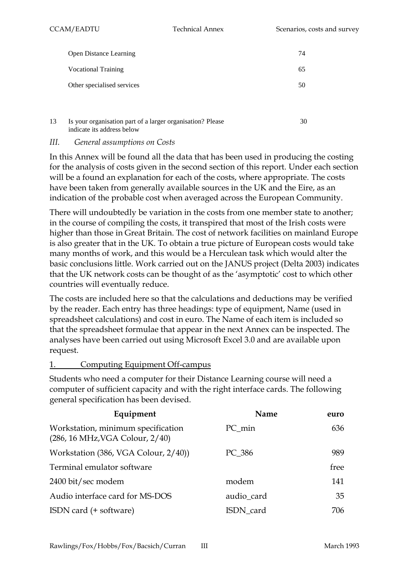|    | <b>Open Distance Learning</b>                                                            | 74 |
|----|------------------------------------------------------------------------------------------|----|
|    | <b>Vocational Training</b>                                                               | 65 |
|    | Other specialised services                                                               | 50 |
|    |                                                                                          |    |
| 13 | Is your organisation part of a larger organisation? Please<br>indicate its address below | 30 |

#### *III. General assumptions on Costs*

In this Annex will be found all the data that has been used in producing the costing for the analysis of costs given in the second section of this report. Under each section will be a found an explanation for each of the costs, where appropriate. The costs have been taken from generally available sources in the UK and the Eire, as an indication of the probable cost when averaged across the European Community.

There will undoubtedly be variation in the costs from one member state to another; in the course of compiling the costs, it transpired that most of the Irish costs were higher than those in Great Britain. The cost of network facilities on mainland Europe is also greater that in the UK. To obtain a true picture of European costs would take many months of work, and this would be a Herculean task which would alter the basic conclusions little. Work carried out on the JANUS project (Delta 2003) indicates that the UK network costs can be thought of as the 'asymptotic' cost to which other countries will eventually reduce.

The costs are included here so that the calculations and deductions may be verified by the reader. Each entry has three headings: type of equipment, Name (used in spreadsheet calculations) and cost in euro. The Name of each item is included so that the spreadsheet formulae that appear in the next Annex can be inspected. The analyses have been carried out using Microsoft Excel 3.0 and are available upon request.

#### 1. Computing Equipment Off-campus

Students who need a computer for their Distance Learning course will need a computer of sufficient capacity and with the right interface cards. The following general specification has been devised.

| Equipment                                                             | Name       | euro |
|-----------------------------------------------------------------------|------------|------|
| Workstation, minimum specification<br>(286, 16 MHz, VGA Colour, 2/40) | PC min     | 636  |
| Workstation (386, VGA Colour, 2/40))                                  | PC 386     | 989  |
| Terminal emulator software                                            |            | free |
| 2400 bit/sec modem                                                    | modem      | 141  |
| Audio interface card for MS-DOS                                       | audio_card | 35   |
| ISDN card (+ software)                                                | ISDN_card  | 706  |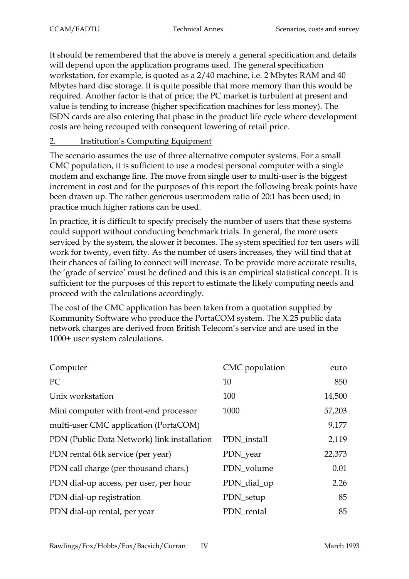It should be remembered that the above is merely a general specification and details will depend upon the application programs used. The general specification workstation, for example, is quoted as a 2/40 machine, i.e. 2 Mbytes RAM and 40 Mbytes hard disc storage. It is quite possible that more memory than this would be required. Another factor is that of price; the PC market is turbulent at present and value is tending to increase (higher specification machines for less money). The ISDN cards are also entering that phase in the product life cycle where development costs are being recouped with consequent lowering of retail price.

# 2. Institution's Computing Equipment

The scenario assumes the use of three alternative computer systems. For a small CMC population, it is sufficient to use a modest personal computer with a single modem and exchange line. The move from single user to multi-user is the biggest increment in cost and for the purposes of this report the following break points have been drawn up. The rather generous user:modem ratio of 20:1 has been used; in practice much higher rations can be used.

In practice, it is difficult to specify precisely the number of users that these systems could support without conducting benchmark trials. In general, the more users serviced by the system, the slower it becomes. The system specified for ten users will work for twenty, even fifty. As the number of users increases, they will find that at their chances of failing to connect will increase. To be provide more accurate results, the 'grade of service' must be defined and this is an empirical statistical concept. It is sufficient for the purposes of this report to estimate the likely computing needs and proceed with the calculations accordingly.

The cost of the CMC application has been taken from a quotation supplied by Kommunity Software who produce the PortaCOM system. The X.25 public data network charges are derived from British Telecom's service and are used in the 1000+ user system calculations.

| Computer                                    | CMC population | euro   |
|---------------------------------------------|----------------|--------|
| PC                                          | 10             | 850    |
| Unix workstation                            | 100            | 14,500 |
| Mini computer with front-end processor      | 1000           | 57,203 |
| multi-user CMC application (PortaCOM)       |                | 9,177  |
| PDN (Public Data Network) link installation | PDN_install    | 2,119  |
| PDN rental 64k service (per year)           | PDN_year       | 22,373 |
| PDN call charge (per thousand chars.)       | PDN_volume     | 0.01   |
| PDN dial-up access, per user, per hour      | PDN_dial_up    | 2.26   |
| PDN dial-up registration                    | PDN_setup      | 85     |
| PDN dial-up rental, per year                | PDN rental     | 85     |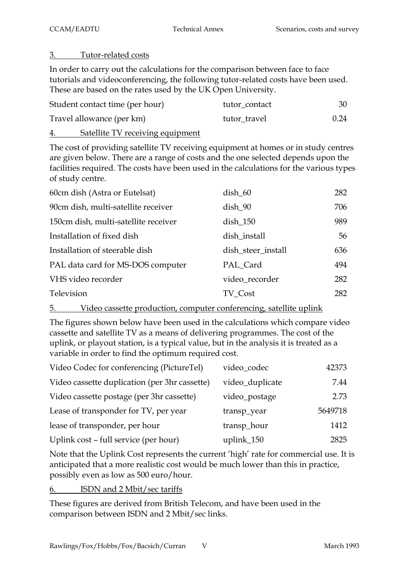#### 3. Tutor-related costs

In order to carry out the calculations for the comparison between face to face tutorials and videoconferencing, the following tutor-related costs have been used. These are based on the rates used by the UK Open University.

| Student contact time (per hour) | tutor contact | 30   |
|---------------------------------|---------------|------|
| Travel allowance (per km)       | tutor travel  | 0.24 |
|                                 |               |      |

4. Satellite TV receiving equipment

The cost of providing satellite TV receiving equipment at homes or in study centres are given below. There are a range of costs and the one selected depends upon the facilities required. The costs have been used in the calculations for the various types of study centre.

| 60cm dish (Astra or Eutelsat)        | $\mathrm{dish\_60}$ | 282 |
|--------------------------------------|---------------------|-----|
| 90cm dish, multi-satellite receiver  | dish_90             | 706 |
| 150cm dish, multi-satellite receiver | $dist_150$          | 989 |
| Installation of fixed dish           | dish_install        | 56  |
| Installation of steerable dish       | dish steer install  | 636 |
| PAL data card for MS-DOS computer    | PAL Card            | 494 |
| VHS video recorder                   | video_recorder      | 282 |
| Television                           | TV Cost             | 282 |

5. Video cassette production, computer conferencing, satellite uplink

The figures shown below have been used in the calculations which compare video cassette and satellite TV as a means of delivering programmes. The cost of the uplink, or playout station, is a typical value, but in the analysis it is treated as a variable in order to find the optimum required cost.

| Video Codec for conferencing (PictureTel)     | video_codec     | 42373   |
|-----------------------------------------------|-----------------|---------|
| Video cassette duplication (per 3hr cassette) | video_duplicate | 7.44    |
| Video cassette postage (per 3hr cassette)     | video_postage   | 2.73    |
| Lease of transponder for TV, per year         | transp_year     | 5649718 |
| lease of transponder, per hour                | transp_hour     | 1412    |
| Uplink cost - full service (per hour)         | uplink_150      | 2825    |

Note that the Uplink Cost represents the current 'high' rate for commercial use. It is anticipated that a more realistic cost would be much lower than this in practice, possibly even as low as 500 euro/hour.

6. ISDN and 2 Mbit/sec tariffs

These figures are derived from British Telecom, and have been used in the comparison between ISDN and 2 Mbit/sec links.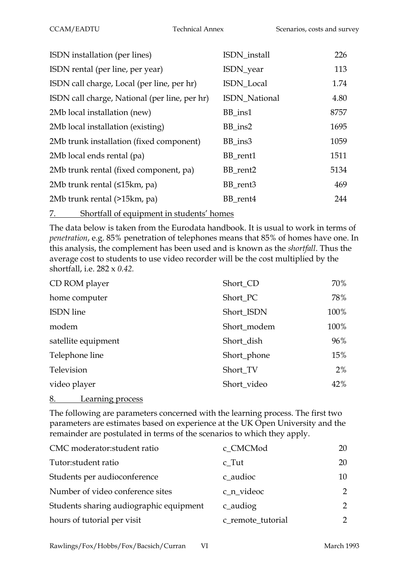| ISDN installation (per lines)                 | ISDN_install  | 226  |
|-----------------------------------------------|---------------|------|
| ISDN rental (per line, per year)              | ISDN_year     | 113  |
| ISDN call charge, Local (per line, per hr)    | ISDN_Local    | 1.74 |
| ISDN call charge, National (per line, per hr) | ISDN_National | 4.80 |
| 2Mb local installation (new)                  | BB_ins1       | 8757 |
| 2Mb local installation (existing)             | $BB$ _ins2    | 1695 |
| 2Mb trunk installation (fixed component)      | BB_ins3       | 1059 |
| 2Mb local ends rental (pa)                    | BB_rent1      | 1511 |
| 2Mb trunk rental (fixed component, pa)        | BB rent2      | 5134 |
| 2Mb trunk rental (≤15km, pa)                  | BB_rent3      | 469  |
| 2Mb trunk rental (>15km, pa)                  | BB rent4      | 244  |
|                                               |               |      |

7. Shortfall of equipment in students' homes

The data below is taken from the Eurodata handbook. It is usual to work in terms of *penetration*, e.g. 85% penetration of telephones means that 85% of homes have one. In this analysis, the complement has been used and is known as the *shortfall*. Thus the average cost to students to use video recorder will be the cost multiplied by the shortfall, i.e. 282 x *0.42.*

| CD ROM player       | Short_CD    | 70%  |
|---------------------|-------------|------|
| home computer       | Short_PC    | 78%  |
| <b>ISDN</b> line    | Short_ISDN  | 100% |
| modem               | Short_modem | 100% |
| satellite equipment | Short_dish  | 96%  |
| Telephone line      | Short_phone | 15%  |
| Television          | Short_TV    | 2%   |
| video player        | Short_video | 42%  |
|                     |             |      |

8. Learning process

The following are parameters concerned with the learning process. The first two parameters are estimates based on experience at the UK Open University and the remainder are postulated in terms of the scenarios to which they apply.

| CMC moderator: student ratio            | c CMCMod          | 20            |
|-----------------------------------------|-------------------|---------------|
| Tutor:student ratio                     | $c_T$ ut          | 20            |
| Students per audioconference            | c_audioc          | 10            |
| Number of video conference sites        | c_n_videoc        | $\mathcal{P}$ |
| Students sharing audiographic equipment | c_audiog          | $\mathcal{P}$ |
| hours of tutorial per visit             | c remote tutorial | $\mathcal{P}$ |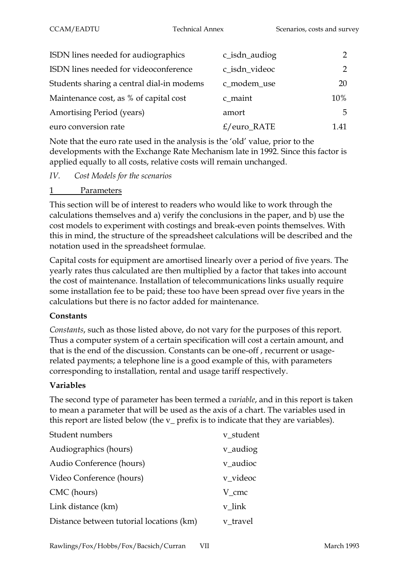| ISDN lines needed for audiographics       | c_isdn_audiog | $\mathcal{P}$ |
|-------------------------------------------|---------------|---------------|
| ISDN lines needed for videoconference     | c_isdn_videoc | $\mathcal{P}$ |
| Students sharing a central dial-in modems | c_modem_use   | 20            |
| Maintenance cost, as % of capital cost    | c_maint       | 10%           |
| <b>Amortising Period (years)</b>          | amort         | 5             |
| euro conversion rate                      | $E/euro_RATE$ | 1 41          |

Note that the euro rate used in the analysis is the 'old' value, prior to the developments with the Exchange Rate Mechanism late in 1992. Since this factor is applied equally to all costs, relative costs will remain unchanged.

*IV. Cost Models for the scenarios*

#### 1 Parameters

This section will be of interest to readers who would like to work through the calculations themselves and a) verify the conclusions in the paper, and b) use the cost models to experiment with costings and break-even points themselves. With this in mind, the structure of the spreadsheet calculations will be described and the notation used in the spreadsheet formulae.

Capital costs for equipment are amortised linearly over a period of five years. The yearly rates thus calculated are then multiplied by a factor that takes into account the cost of maintenance. Installation of telecommunications links usually require some installation fee to be paid; these too have been spread over five years in the calculations but there is no factor added for maintenance.

#### **Constants**

*Constants*, such as those listed above, do not vary for the purposes of this report. Thus a computer system of a certain specification will cost a certain amount, and that is the end of the discussion. Constants can be one-off , recurrent or usagerelated payments; a telephone line is a good example of this, with parameters corresponding to installation, rental and usage tariff respectively.

# **Variables**

The second type of parameter has been termed a *variable*, and in this report is taken to mean a parameter that will be used as the axis of a chart. The variables used in this report are listed below (the v\_ prefix is to indicate that they are variables).

| Student numbers                          | v student |
|------------------------------------------|-----------|
| Audiographics (hours)                    | v_audiog  |
| Audio Conference (hours)                 | v audioc  |
| Video Conference (hours)                 | v videoc  |
| CMC (hours)                              | V cmc     |
| Link distance (km)                       | v link    |
| Distance between tutorial locations (km) | v travel  |